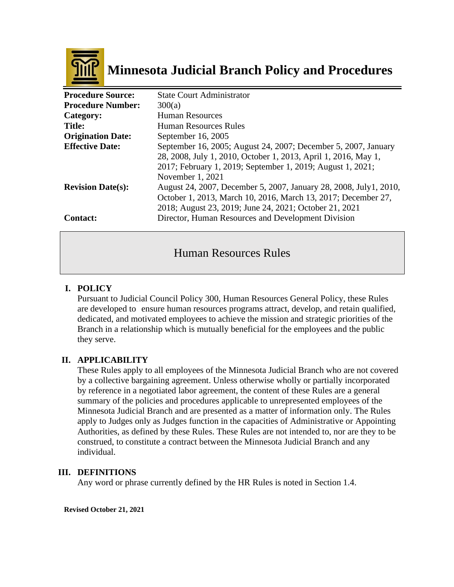

# **Minnesota Judicial Branch Policy and Procedures**

| <b>Procedure Source:</b> | <b>State Court Administrator</b>                                  |
|--------------------------|-------------------------------------------------------------------|
| <b>Procedure Number:</b> | 300(a)                                                            |
| Category:                | <b>Human Resources</b>                                            |
| <b>Title:</b>            | <b>Human Resources Rules</b>                                      |
| <b>Origination Date:</b> | September 16, 2005                                                |
| <b>Effective Date:</b>   | September 16, 2005; August 24, 2007; December 5, 2007, January    |
|                          | 28, 2008, July 1, 2010, October 1, 2013, April 1, 2016, May 1,    |
|                          | 2017; February 1, 2019; September 1, 2019; August 1, 2021;        |
|                          | November 1, 2021                                                  |
| <b>Revision Date(s):</b> | August 24, 2007, December 5, 2007, January 28, 2008, July1, 2010, |
|                          | October 1, 2013, March 10, 2016, March 13, 2017; December 27,     |
|                          | 2018; August 23, 2019; June 24, 2021; October 21, 2021            |
| <b>Contact:</b>          | Director, Human Resources and Development Division                |

# Human Resources Rules

# **I. POLICY**

Pursuant to Judicial Council Policy 300, Human Resources General Policy, these Rules are developed to ensure human resources programs attract, develop, and retain qualified, dedicated, and motivated employees to achieve the mission and strategic priorities of the Branch in a relationship which is mutually beneficial for the employees and the public they serve.

# **II. APPLICABILITY**

These Rules apply to all employees of the Minnesota Judicial Branch who are not covered by a collective bargaining agreement. Unless otherwise wholly or partially incorporated by reference in a negotiated labor agreement, the content of these Rules are a general summary of the policies and procedures applicable to unrepresented employees of the Minnesota Judicial Branch and are presented as a matter of information only. The Rules apply to Judges only as Judges function in the capacities of Administrative or Appointing Authorities, as defined by these Rules. These Rules are not intended to, nor are they to be construed, to constitute a contract between the Minnesota Judicial Branch and any individual.

#### **III. DEFINITIONS**

Any word or phrase currently defined by the HR Rules is noted in Section 1.4.

**Revised October 21, 2021**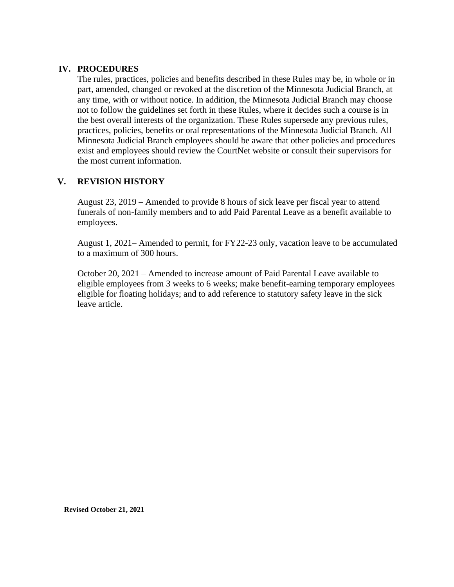# **IV. PROCEDURES**

The rules, practices, policies and benefits described in these Rules may be, in whole or in part, amended, changed or revoked at the discretion of the Minnesota Judicial Branch, at any time, with or without notice. In addition, the Minnesota Judicial Branch may choose not to follow the guidelines set forth in these Rules, where it decides such a course is in the best overall interests of the organization. These Rules supersede any previous rules, practices, policies, benefits or oral representations of the Minnesota Judicial Branch. All Minnesota Judicial Branch employees should be aware that other policies and procedures exist and employees should review the CourtNet website or consult their supervisors for the most current information.

# **V. REVISION HISTORY**

August 23, 2019 – Amended to provide 8 hours of sick leave per fiscal year to attend funerals of non-family members and to add Paid Parental Leave as a benefit available to employees.

August 1, 2021– Amended to permit, for FY22-23 only, vacation leave to be accumulated to a maximum of 300 hours.

October 20, 2021 – Amended to increase amount of Paid Parental Leave available to eligible employees from 3 weeks to 6 weeks; make benefit-earning temporary employees eligible for floating holidays; and to add reference to statutory safety leave in the sick leave article.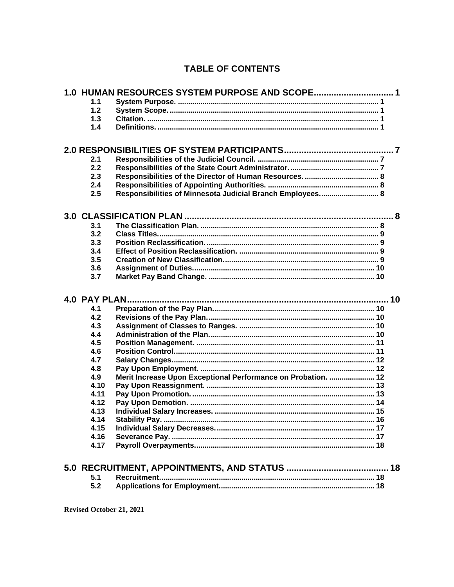# **TABLE OF CONTENTS**

|               | 1.0 HUMAN RESOURCES SYSTEM PURPOSE AND SCOPE 1                |
|---------------|---------------------------------------------------------------|
| 1.1           |                                                               |
| 1.2           |                                                               |
| 1.3           |                                                               |
| 1.4           |                                                               |
|               |                                                               |
|               |                                                               |
| 2.1           |                                                               |
| 2.2           |                                                               |
| 2.3           |                                                               |
| 2.4           |                                                               |
| 2.5           | Responsibilities of Minnesota Judicial Branch Employees 8     |
|               |                                                               |
| 3.1           |                                                               |
| 3.2           |                                                               |
| 3.3           |                                                               |
| 3.4           |                                                               |
| 3.5           |                                                               |
| 3.6           |                                                               |
| 3.7           |                                                               |
|               |                                                               |
|               |                                                               |
| 4.0 PAY PLAN. |                                                               |
| 4.1           |                                                               |
| 4.2           |                                                               |
| 4.3           |                                                               |
| 4.4           |                                                               |
| 4.5           |                                                               |
| 4.6           |                                                               |
| 4.7           |                                                               |
| 4.8           |                                                               |
| 4.9           | Merit Increase Upon Exceptional Performance on Probation.  12 |
| 4.10          |                                                               |
| 4.11          |                                                               |
| 4.12          |                                                               |
| 4.13          |                                                               |
| 4.14          |                                                               |
| 4.15          |                                                               |
| 4.16          |                                                               |
| 4.17          |                                                               |
|               |                                                               |
|               |                                                               |
| 5.1<br>5.2    |                                                               |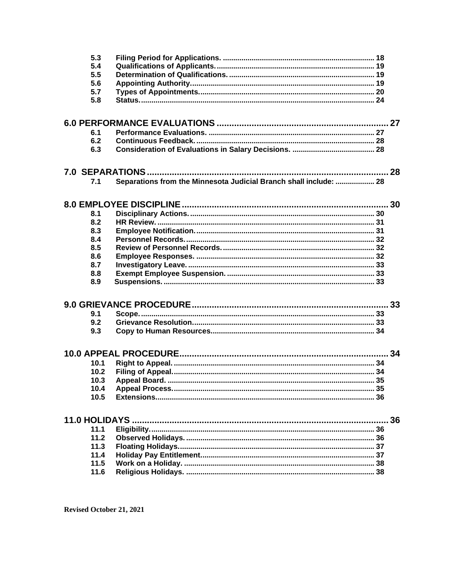| 5.3  |                                                                   |  |
|------|-------------------------------------------------------------------|--|
| 5.4  |                                                                   |  |
| 5.5  |                                                                   |  |
| 5.6  |                                                                   |  |
| 5.7  |                                                                   |  |
| 5.8  |                                                                   |  |
|      |                                                                   |  |
| 6.1  |                                                                   |  |
| 6.2  |                                                                   |  |
| 6.3  |                                                                   |  |
|      |                                                                   |  |
|      |                                                                   |  |
| 7.1  | Separations from the Minnesota Judicial Branch shall include:  28 |  |
|      |                                                                   |  |
| 8.1  |                                                                   |  |
| 8.2  |                                                                   |  |
| 8.3  |                                                                   |  |
| 8.4  |                                                                   |  |
| 8.5  |                                                                   |  |
| 8.6  |                                                                   |  |
| 8.7  |                                                                   |  |
| 8.8  |                                                                   |  |
| 8.9  |                                                                   |  |
|      |                                                                   |  |
| 9.1  |                                                                   |  |
| 9.2  |                                                                   |  |
| 9.3  |                                                                   |  |
|      |                                                                   |  |
| 10.1 |                                                                   |  |
| 10.2 |                                                                   |  |
| 10.3 |                                                                   |  |
| 10.4 |                                                                   |  |
| 10.5 |                                                                   |  |
|      |                                                                   |  |
|      |                                                                   |  |
| 11.1 |                                                                   |  |
| 11.2 |                                                                   |  |
| 11.3 |                                                                   |  |
| 11.4 |                                                                   |  |
| 11.5 |                                                                   |  |
| 11.6 |                                                                   |  |
|      |                                                                   |  |

Revised October 21, 2021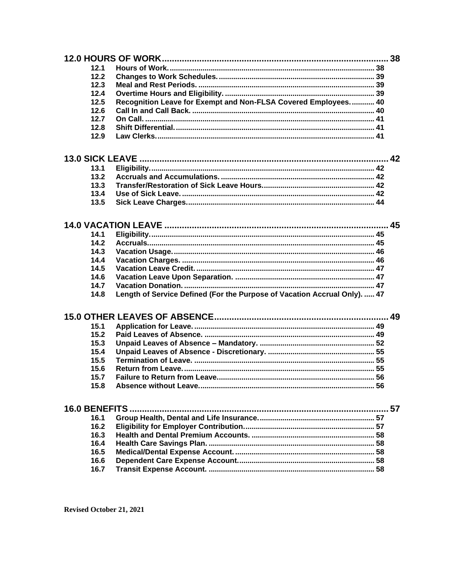| 12.1 |                                                                           |
|------|---------------------------------------------------------------------------|
| 12.2 |                                                                           |
| 12.3 |                                                                           |
| 12.4 |                                                                           |
| 12.5 | Recognition Leave for Exempt and Non-FLSA Covered Employees 40            |
| 12.6 |                                                                           |
| 12.7 |                                                                           |
| 12.8 |                                                                           |
| 12.9 |                                                                           |
|      |                                                                           |
| 13.1 |                                                                           |
| 13.2 |                                                                           |
| 13.3 |                                                                           |
| 13.4 |                                                                           |
| 13.5 |                                                                           |
|      |                                                                           |
|      |                                                                           |
| 14.1 |                                                                           |
| 14.2 |                                                                           |
| 14.3 |                                                                           |
| 14.4 |                                                                           |
| 14.5 |                                                                           |
| 14.6 |                                                                           |
| 14.7 |                                                                           |
| 14.8 | Length of Service Defined (For the Purpose of Vacation Accrual Only).  47 |
|      |                                                                           |
| 15.1 |                                                                           |
| 15.2 |                                                                           |
| 15.3 |                                                                           |
| 15.4 |                                                                           |
| 15.5 |                                                                           |
| 15.6 |                                                                           |
| 15.7 |                                                                           |
| 15.8 |                                                                           |
|      |                                                                           |
|      |                                                                           |
| 16.1 |                                                                           |
| 16.2 |                                                                           |
| 16.3 |                                                                           |
| 16.4 |                                                                           |
| 16.5 |                                                                           |
| 16.6 |                                                                           |
| 16.7 |                                                                           |
|      |                                                                           |

Revised October 21, 2021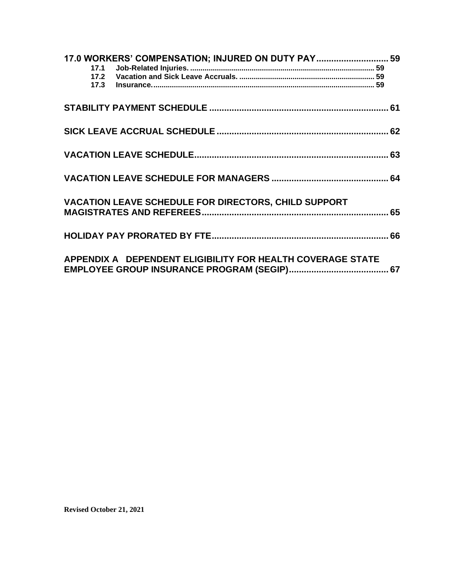| 17.0 WORKERS' COMPENSATION; INJURED ON DUTY PAY 59          |  |
|-------------------------------------------------------------|--|
|                                                             |  |
|                                                             |  |
|                                                             |  |
|                                                             |  |
| <b>VACATION LEAVE SCHEDULE FOR DIRECTORS, CHILD SUPPORT</b> |  |
|                                                             |  |
| APPENDIX A DEPENDENT ELIGIBILITY FOR HEALTH COVERAGE STATE  |  |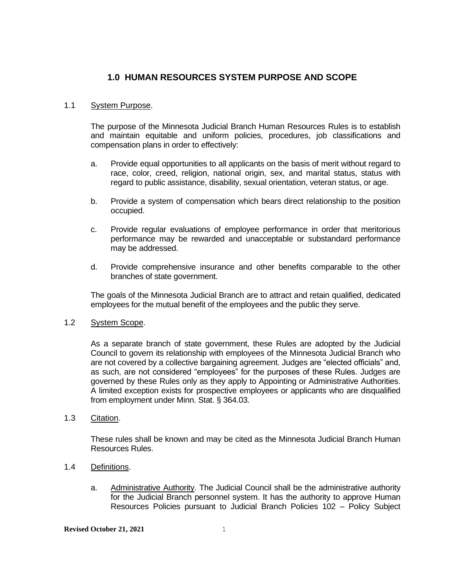# **1.0 HUMAN RESOURCES SYSTEM PURPOSE AND SCOPE**

#### <span id="page-6-1"></span><span id="page-6-0"></span>1.1 System Purpose.

The purpose of the Minnesota Judicial Branch Human Resources Rules is to establish and maintain equitable and uniform policies, procedures, job classifications and compensation plans in order to effectively:

- a. Provide equal opportunities to all applicants on the basis of merit without regard to race, color, creed, religion, national origin, sex, and marital status, status with regard to public assistance, disability, sexual orientation, veteran status, or age.
- b. Provide a system of compensation which bears direct relationship to the position occupied.
- c. Provide regular evaluations of employee performance in order that meritorious performance may be rewarded and unacceptable or substandard performance may be addressed.
- d. Provide comprehensive insurance and other benefits comparable to the other branches of state government.

The goals of the Minnesota Judicial Branch are to attract and retain qualified, dedicated employees for the mutual benefit of the employees and the public they serve.

#### <span id="page-6-2"></span>1.2 System Scope.

As a separate branch of state government, these Rules are adopted by the Judicial Council to govern its relationship with employees of the Minnesota Judicial Branch who are not covered by a collective bargaining agreement. Judges are "elected officials" and, as such, are not considered "employees" for the purposes of these Rules. Judges are governed by these Rules only as they apply to Appointing or Administrative Authorities. A limited exception exists for prospective employees or applicants who are disqualified from employment under Minn. Stat. § 364.03.

# <span id="page-6-3"></span>1.3 Citation.

These rules shall be known and may be cited as the Minnesota Judicial Branch Human Resources Rules.

#### <span id="page-6-4"></span>1.4 Definitions.

a. Administrative Authority. The Judicial Council shall be the administrative authority for the Judicial Branch personnel system. It has the authority to approve Human Resources Policies pursuant to Judicial Branch Policies 102 – Policy Subject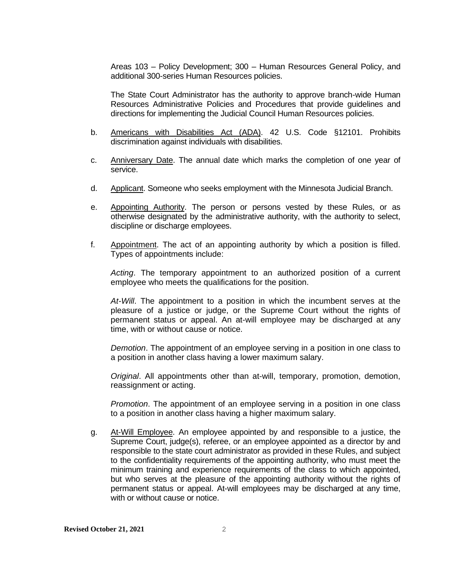Areas 103 – Policy Development; 300 – Human Resources General Policy, and additional 300-series Human Resources policies.

The State Court Administrator has the authority to approve branch-wide Human Resources Administrative Policies and Procedures that provide guidelines and directions for implementing the Judicial Council Human Resources policies.

- b. Americans with Disabilities Act (ADA). 42 U.S. Code §12101. Prohibits discrimination against individuals with disabilities.
- c. Anniversary Date. The annual date which marks the completion of one year of service.
- d. Applicant. Someone who seeks employment with the Minnesota Judicial Branch.
- e. Appointing Authority. The person or persons vested by these Rules, or as otherwise designated by the administrative authority, with the authority to select, discipline or discharge employees.
- f. Appointment. The act of an appointing authority by which a position is filled. Types of appointments include:

*Acting*. The temporary appointment to an authorized position of a current employee who meets the qualifications for the position.

*At-Will*. The appointment to a position in which the incumbent serves at the pleasure of a justice or judge, or the Supreme Court without the rights of permanent status or appeal. An at-will employee may be discharged at any time, with or without cause or notice.

*Demotion*. The appointment of an employee serving in a position in one class to a position in another class having a lower maximum salary.

*Original*. All appointments other than at-will, temporary, promotion, demotion, reassignment or acting.

*Promotion*. The appointment of an employee serving in a position in one class to a position in another class having a higher maximum salary.

g. At-Will Employee. An employee appointed by and responsible to a justice, the Supreme Court, judge(s), referee, or an employee appointed as a director by and responsible to the state court administrator as provided in these Rules, and subject to the confidentiality requirements of the appointing authority, who must meet the minimum training and experience requirements of the class to which appointed, but who serves at the pleasure of the appointing authority without the rights of permanent status or appeal. At-will employees may be discharged at any time, with or without cause or notice.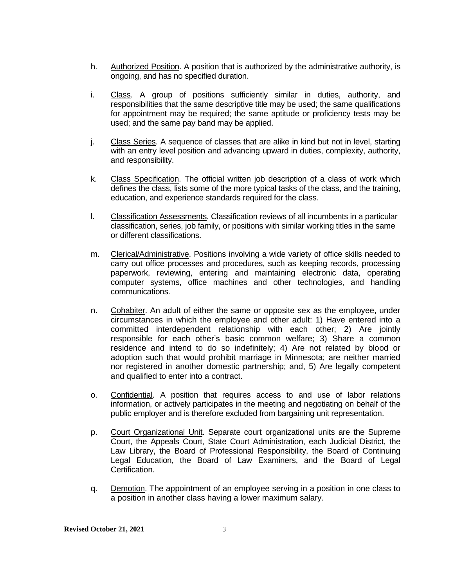- h. Authorized Position. A position that is authorized by the administrative authority, is ongoing, and has no specified duration.
- i. Class. A group of positions sufficiently similar in duties, authority, and responsibilities that the same descriptive title may be used; the same qualifications for appointment may be required; the same aptitude or proficiency tests may be used; and the same pay band may be applied.
- j. Class Series. A sequence of classes that are alike in kind but not in level, starting with an entry level position and advancing upward in duties, complexity, authority, and responsibility.
- k. Class Specification. The official written job description of a class of work which defines the class, lists some of the more typical tasks of the class, and the training, education, and experience standards required for the class.
- l. Classification Assessments. Classification reviews of all incumbents in a particular classification, series, job family, or positions with similar working titles in the same or different classifications.
- m. Clerical/Administrative. Positions involving a wide variety of office skills needed to carry out office processes and procedures, such as keeping records, processing paperwork, reviewing, entering and maintaining electronic data, operating computer systems, office machines and other technologies, and handling communications.
- n. Cohabiter. An adult of either the same or opposite sex as the employee, under circumstances in which the employee and other adult: 1) Have entered into a committed interdependent relationship with each other; 2) Are jointly responsible for each other's basic common welfare; 3) Share a common residence and intend to do so indefinitely; 4) Are not related by blood or adoption such that would prohibit marriage in Minnesota; are neither married nor registered in another domestic partnership; and, 5) Are legally competent and qualified to enter into a contract.
- o. Confidential. A position that requires access to and use of labor relations information, or actively participates in the meeting and negotiating on behalf of the public employer and is therefore excluded from bargaining unit representation.
- p. Court Organizational Unit. Separate court organizational units are the Supreme Court, the Appeals Court, State Court Administration, each Judicial District, the Law Library, the Board of Professional Responsibility, the Board of Continuing Legal Education, the Board of Law Examiners, and the Board of Legal Certification.
- q. Demotion. The appointment of an employee serving in a position in one class to a position in another class having a lower maximum salary.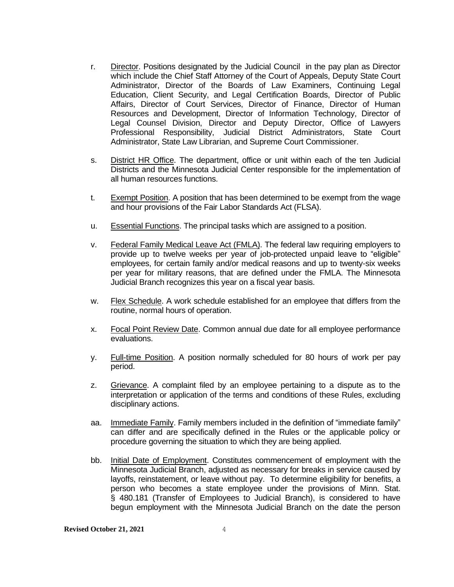- r. Director. Positions designated by the Judicial Council in the pay plan as Director which include the Chief Staff Attorney of the Court of Appeals, Deputy State Court Administrator, Director of the Boards of Law Examiners, Continuing Legal Education, Client Security, and Legal Certification Boards, Director of Public Affairs, Director of Court Services, Director of Finance, Director of Human Resources and Development, Director of Information Technology, Director of Legal Counsel Division, Director and Deputy Director, Office of Lawyers Professional Responsibility, Judicial District Administrators, State Court Administrator, State Law Librarian, and Supreme Court Commissioner.
- s. District HR Office. The department, office or unit within each of the ten Judicial Districts and the Minnesota Judicial Center responsible for the implementation of all human resources functions.
- t. Exempt Position. A position that has been determined to be exempt from the wage and hour provisions of the Fair Labor Standards Act (FLSA).
- u. Essential Functions. The principal tasks which are assigned to a position.
- v. Federal Family Medical Leave Act (FMLA). The federal law requiring employers to provide up to twelve weeks per year of job-protected unpaid leave to "eligible" employees, for certain family and/or medical reasons and up to twenty-six weeks per year for military reasons, that are defined under the FMLA. The Minnesota Judicial Branch recognizes this year on a fiscal year basis.
- w. Flex Schedule. A work schedule established for an employee that differs from the routine, normal hours of operation.
- x. Focal Point Review Date. Common annual due date for all employee performance evaluations.
- y. Full-time Position. A position normally scheduled for 80 hours of work per pay period.
- z. Grievance. A complaint filed by an employee pertaining to a dispute as to the interpretation or application of the terms and conditions of these Rules, excluding disciplinary actions.
- aa. Immediate Family. Family members included in the definition of "immediate family" can differ and are specifically defined in the Rules or the applicable policy or procedure governing the situation to which they are being applied.
- bb. Initial Date of Employment. Constitutes commencement of employment with the Minnesota Judicial Branch, adjusted as necessary for breaks in service caused by layoffs, reinstatement, or leave without pay. To determine eligibility for benefits, a person who becomes a state employee under the provisions of Minn. Stat. § 480.181 (Transfer of Employees to Judicial Branch), is considered to have begun employment with the Minnesota Judicial Branch on the date the person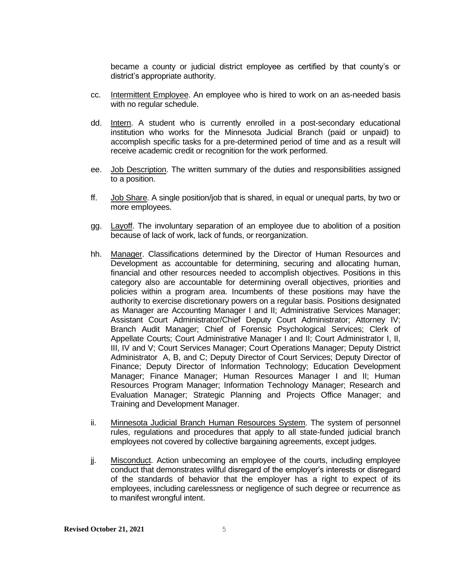became a county or judicial district employee as certified by that county's or district's appropriate authority.

- cc. Intermittent Employee. An employee who is hired to work on an as-needed basis with no regular schedule.
- dd. Intern. A student who is currently enrolled in a post-secondary educational institution who works for the Minnesota Judicial Branch (paid or unpaid) to accomplish specific tasks for a pre-determined period of time and as a result will receive academic credit or recognition for the work performed.
- ee. Job Description. The written summary of the duties and responsibilities assigned to a position.
- ff. Job Share. A single position/job that is shared, in equal or unequal parts, by two or more employees.
- gg. Layoff. The involuntary separation of an employee due to abolition of a position because of lack of work, lack of funds, or reorganization.
- hh. Manager. Classifications determined by the Director of Human Resources and Development as accountable for determining, securing and allocating human, financial and other resources needed to accomplish objectives. Positions in this category also are accountable for determining overall objectives, priorities and policies within a program area. Incumbents of these positions may have the authority to exercise discretionary powers on a regular basis. Positions designated as Manager are Accounting Manager I and II; Administrative Services Manager; Assistant Court Administrator/Chief Deputy Court Administrator; Attorney IV; Branch Audit Manager; Chief of Forensic Psychological Services; Clerk of Appellate Courts; Court Administrative Manager I and II; Court Administrator I, II, III, IV and V; Court Services Manager; Court Operations Manager; Deputy District Administrator A, B, and C; Deputy Director of Court Services; Deputy Director of Finance; Deputy Director of Information Technology; Education Development Manager; Finance Manager; Human Resources Manager I and II; Human Resources Program Manager; Information Technology Manager; Research and Evaluation Manager; Strategic Planning and Projects Office Manager; and Training and Development Manager.
- ii. Minnesota Judicial Branch Human Resources System. The system of personnel rules, regulations and procedures that apply to all state-funded judicial branch employees not covered by collective bargaining agreements, except judges.
- jj. Misconduct. Action unbecoming an employee of the courts, including employee conduct that demonstrates willful disregard of the employer's interests or disregard of the standards of behavior that the employer has a right to expect of its employees, including carelessness or negligence of such degree or recurrence as to manifest wrongful intent.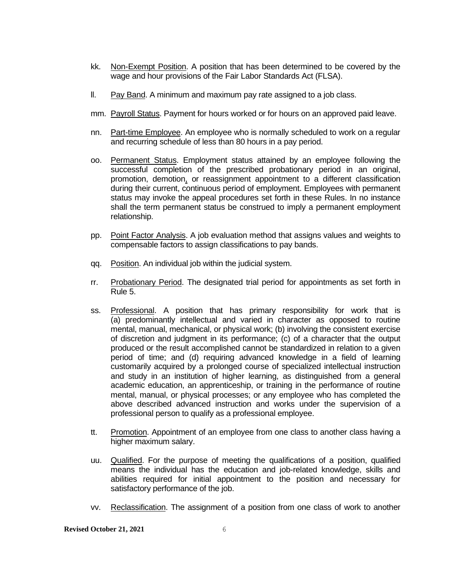- kk. Non-Exempt Position. A position that has been determined to be covered by the wage and hour provisions of the Fair Labor Standards Act (FLSA).
- ll. Pay Band. A minimum and maximum pay rate assigned to a job class.
- mm. Payroll Status. Payment for hours worked or for hours on an approved paid leave.
- nn. Part-time Employee. An employee who is normally scheduled to work on a regular and recurring schedule of less than 80 hours in a pay period.
- oo. Permanent Status. Employment status attained by an employee following the successful completion of the prescribed probationary period in an original, promotion, demotion, or reassignment appointment to a different classification during their current, continuous period of employment. Employees with permanent status may invoke the appeal procedures set forth in these Rules. In no instance shall the term permanent status be construed to imply a permanent employment relationship.
- pp. Point Factor Analysis. A job evaluation method that assigns values and weights to compensable factors to assign classifications to pay bands.
- qq. Position. An individual job within the judicial system.
- rr. Probationary Period. The designated trial period for appointments as set forth in Rule 5.
- ss. Professional. A position that has primary responsibility for work that is (a) predominantly intellectual and varied in character as opposed to routine mental, manual, mechanical, or physical work; (b) involving the consistent exercise of discretion and judgment in its performance; (c) of a character that the output produced or the result accomplished cannot be standardized in relation to a given period of time; and (d) requiring advanced knowledge in a field of learning customarily acquired by a prolonged course of specialized intellectual instruction and study in an institution of higher learning, as distinguished from a general academic education, an apprenticeship, or training in the performance of routine mental, manual, or physical processes; or any employee who has completed the above described advanced instruction and works under the supervision of a professional person to qualify as a professional employee.
- tt. Promotion. Appointment of an employee from one class to another class having a higher maximum salary.
- uu. Qualified. For the purpose of meeting the qualifications of a position, qualified means the individual has the education and job-related knowledge, skills and abilities required for initial appointment to the position and necessary for satisfactory performance of the job.
- vv. Reclassification. The assignment of a position from one class of work to another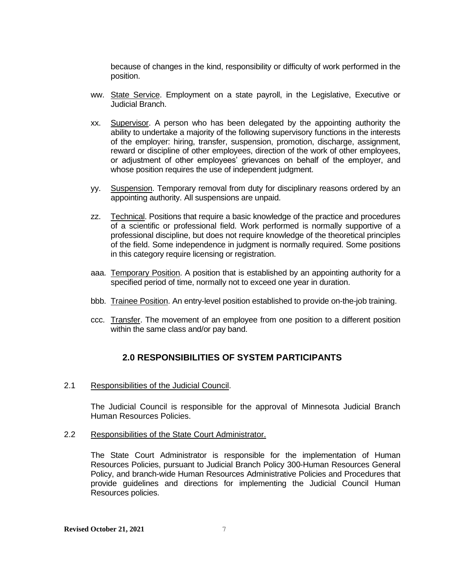because of changes in the kind, responsibility or difficulty of work performed in the position.

- ww. State Service. Employment on a state payroll, in the Legislative, Executive or Judicial Branch.
- xx. Supervisor. A person who has been delegated by the appointing authority the ability to undertake a majority of the following supervisory functions in the interests of the employer: hiring, transfer, suspension, promotion, discharge, assignment, reward or discipline of other employees, direction of the work of other employees, or adjustment of other employees' grievances on behalf of the employer, and whose position requires the use of independent judgment.
- yy. Suspension. Temporary removal from duty for disciplinary reasons ordered by an appointing authority. All suspensions are unpaid.
- zz. Technical. Positions that require a basic knowledge of the practice and procedures of a scientific or professional field. Work performed is normally supportive of a professional discipline, but does not require knowledge of the theoretical principles of the field. Some independence in judgment is normally required. Some positions in this category require licensing or registration.
- aaa. Temporary Position. A position that is established by an appointing authority for a specified period of time, normally not to exceed one year in duration.
- bbb. Trainee Position. An entry-level position established to provide on-the-job training.
- ccc. Transfer. The movement of an employee from one position to a different position within the same class and/or pay band.

# **2.0 RESPONSIBILITIES OF SYSTEM PARTICIPANTS**

#### <span id="page-12-1"></span><span id="page-12-0"></span>2.1 Responsibilities of the Judicial Council.

The Judicial Council is responsible for the approval of Minnesota Judicial Branch Human Resources Policies.

#### <span id="page-12-2"></span>2.2 Responsibilities of the State Court Administrator.

The State Court Administrator is responsible for the implementation of Human Resources Policies, pursuant to Judicial Branch Policy 300-Human Resources General Policy, and branch-wide Human Resources Administrative Policies and Procedures that provide guidelines and directions for implementing the Judicial Council Human Resources policies.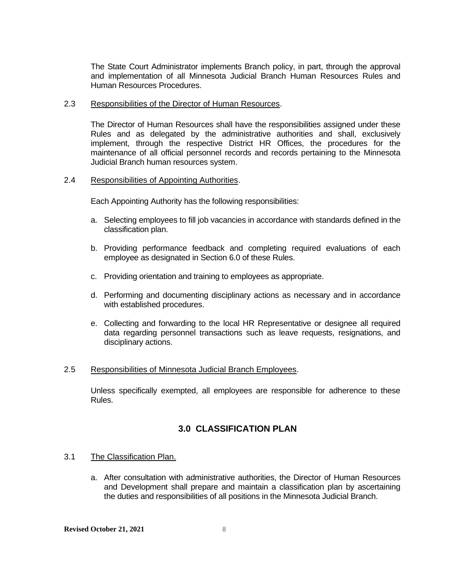The State Court Administrator implements Branch policy, in part, through the approval and implementation of all Minnesota Judicial Branch Human Resources Rules and Human Resources Procedures.

#### <span id="page-13-0"></span>2.3 Responsibilities of the Director of Human Resources.

The Director of Human Resources shall have the responsibilities assigned under these Rules and as delegated by the administrative authorities and shall, exclusively implement, through the respective District HR Offices, the procedures for the maintenance of all official personnel records and records pertaining to the Minnesota Judicial Branch human resources system.

#### <span id="page-13-1"></span>2.4 Responsibilities of Appointing Authorities.

Each Appointing Authority has the following responsibilities:

- a. Selecting employees to fill job vacancies in accordance with standards defined in the classification plan.
- b. Providing performance feedback and completing required evaluations of each employee as designated in Section 6.0 of these Rules.
- c. Providing orientation and training to employees as appropriate.
- d. Performing and documenting disciplinary actions as necessary and in accordance with established procedures.
- e. Collecting and forwarding to the local HR Representative or designee all required data regarding personnel transactions such as leave requests, resignations, and disciplinary actions.

#### <span id="page-13-2"></span>2.5 Responsibilities of Minnesota Judicial Branch Employees.

Unless specifically exempted, all employees are responsible for adherence to these Rules.

# <span id="page-13-3"></span>**3.0 CLASSIFICATION PLAN**

#### <span id="page-13-4"></span>3.1 The Classification Plan.

a. After consultation with administrative authorities, the Director of Human Resources and Development shall prepare and maintain a classification plan by ascertaining the duties and responsibilities of all positions in the Minnesota Judicial Branch.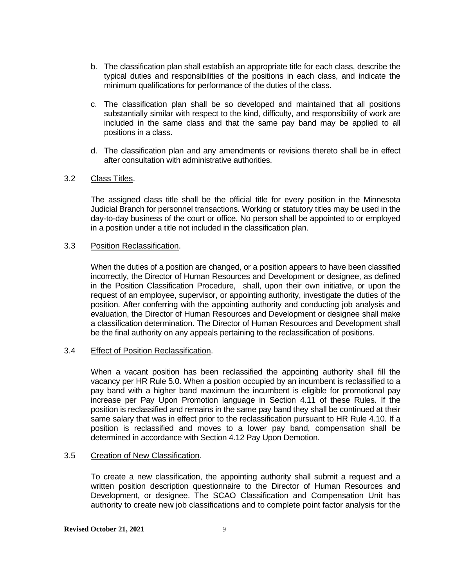- b. The classification plan shall establish an appropriate title for each class, describe the typical duties and responsibilities of the positions in each class, and indicate the minimum qualifications for performance of the duties of the class.
- c. The classification plan shall be so developed and maintained that all positions substantially similar with respect to the kind, difficulty, and responsibility of work are included in the same class and that the same pay band may be applied to all positions in a class.
- d. The classification plan and any amendments or revisions thereto shall be in effect after consultation with administrative authorities.

#### <span id="page-14-0"></span>3.2 Class Titles.

The assigned class title shall be the official title for every position in the Minnesota Judicial Branch for personnel transactions. Working or statutory titles may be used in the day-to-day business of the court or office. No person shall be appointed to or employed in a position under a title not included in the classification plan.

#### <span id="page-14-1"></span>3.3 Position Reclassification.

When the duties of a position are changed, or a position appears to have been classified incorrectly, the Director of Human Resources and Development or designee, as defined in the Position Classification Procedure, shall, upon their own initiative, or upon the request of an employee, supervisor, or appointing authority, investigate the duties of the position. After conferring with the appointing authority and conducting job analysis and evaluation, the Director of Human Resources and Development or designee shall make a classification determination. The Director of Human Resources and Development shall be the final authority on any appeals pertaining to the reclassification of positions.

#### <span id="page-14-2"></span>3.4 Effect of Position Reclassification.

When a vacant position has been reclassified the appointing authority shall fill the vacancy per HR Rule 5.0. When a position occupied by an incumbent is reclassified to a pay band with a higher band maximum the incumbent is eligible for promotional pay increase per Pay Upon Promotion language in Section 4.11 of these Rules. If the position is reclassified and remains in the same pay band they shall be continued at their same salary that was in effect prior to the reclassification pursuant to HR Rule 4.10. If a position is reclassified and moves to a lower pay band, compensation shall be determined in accordance with Section 4.12 Pay Upon Demotion.

#### <span id="page-14-3"></span>3.5 Creation of New Classification.

To create a new classification, the appointing authority shall submit a request and a written position description questionnaire to the Director of Human Resources and Development, or designee. The SCAO Classification and Compensation Unit has authority to create new job classifications and to complete point factor analysis for the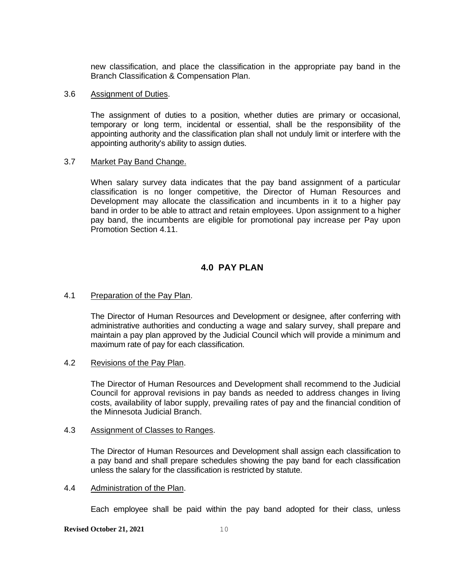new classification, and place the classification in the appropriate pay band in the Branch Classification & Compensation Plan.

#### <span id="page-15-0"></span>3.6 Assignment of Duties.

The assignment of duties to a position, whether duties are primary or occasional, temporary or long term, incidental or essential, shall be the responsibility of the appointing authority and the classification plan shall not unduly limit or interfere with the appointing authority's ability to assign duties.

#### <span id="page-15-1"></span>3.7 Market Pay Band Change.

When salary survey data indicates that the pay band assignment of a particular classification is no longer competitive, the Director of Human Resources and Development may allocate the classification and incumbents in it to a higher pay band in order to be able to attract and retain employees. Upon assignment to a higher pay band, the incumbents are eligible for promotional pay increase per Pay upon Promotion Section 4.11.

# **4.0 PAY PLAN**

#### <span id="page-15-3"></span><span id="page-15-2"></span>4.1 Preparation of the Pay Plan.

The Director of Human Resources and Development or designee, after conferring with administrative authorities and conducting a wage and salary survey, shall prepare and maintain a pay plan approved by the Judicial Council which will provide a minimum and maximum rate of pay for each classification.

#### <span id="page-15-4"></span>4.2 Revisions of the Pay Plan.

The Director of Human Resources and Development shall recommend to the Judicial Council for approval revisions in pay bands as needed to address changes in living costs, availability of labor supply, prevailing rates of pay and the financial condition of the Minnesota Judicial Branch.

#### <span id="page-15-5"></span>4.3 Assignment of Classes to Ranges.

The Director of Human Resources and Development shall assign each classification to a pay band and shall prepare schedules showing the pay band for each classification unless the salary for the classification is restricted by statute.

#### <span id="page-15-6"></span>4.4 Administration of the Plan.

Each employee shall be paid within the pay band adopted for their class, unless

**Revised October 21, 2021** 10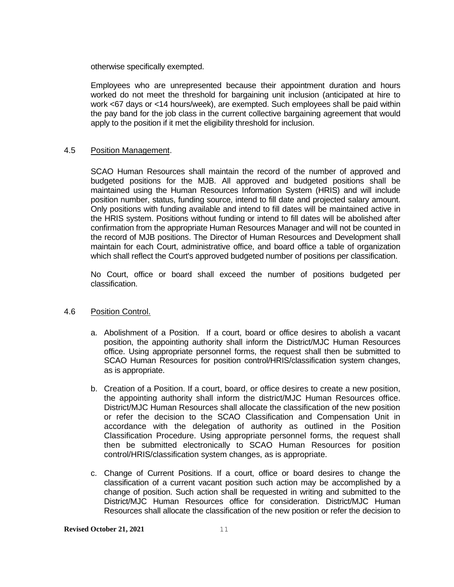otherwise specifically exempted.

Employees who are unrepresented because their appointment duration and hours worked do not meet the threshold for bargaining unit inclusion (anticipated at hire to work <67 days or <14 hours/week), are exempted. Such employees shall be paid within the pay band for the job class in the current collective bargaining agreement that would apply to the position if it met the eligibility threshold for inclusion.

#### <span id="page-16-0"></span>4.5 Position Management.

SCAO Human Resources shall maintain the record of the number of approved and budgeted positions for the MJB. All approved and budgeted positions shall be maintained using the Human Resources Information System (HRIS) and will include position number, status, funding source, intend to fill date and projected salary amount. Only positions with funding available and intend to fill dates will be maintained active in the HRIS system. Positions without funding or intend to fill dates will be abolished after confirmation from the appropriate Human Resources Manager and will not be counted in the record of MJB positions. The Director of Human Resources and Development shall maintain for each Court, administrative office, and board office a table of organization which shall reflect the Court's approved budgeted number of positions per classification.

No Court, office or board shall exceed the number of positions budgeted per classification.

#### <span id="page-16-1"></span>4.6 Position Control.

- a. Abolishment of a Position. If a court, board or office desires to abolish a vacant position, the appointing authority shall inform the District/MJC Human Resources office. Using appropriate personnel forms, the request shall then be submitted to SCAO Human Resources for position control/HRIS/classification system changes, as is appropriate.
- b. Creation of a Position. If a court, board, or office desires to create a new position, the appointing authority shall inform the district/MJC Human Resources office. District/MJC Human Resources shall allocate the classification of the new position or refer the decision to the SCAO Classification and Compensation Unit in accordance with the delegation of authority as outlined in the Position Classification Procedure. Using appropriate personnel forms, the request shall then be submitted electronically to SCAO Human Resources for position control/HRIS/classification system changes, as is appropriate.
- c. Change of Current Positions. If a court, office or board desires to change the classification of a current vacant position such action may be accomplished by a change of position. Such action shall be requested in writing and submitted to the District/MJC Human Resources office for consideration. District/MJC Human Resources shall allocate the classification of the new position or refer the decision to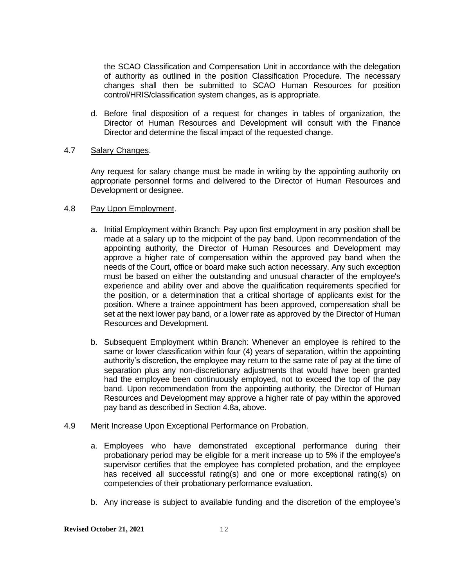the SCAO Classification and Compensation Unit in accordance with the delegation of authority as outlined in the position Classification Procedure. The necessary changes shall then be submitted to SCAO Human Resources for position control/HRIS/classification system changes, as is appropriate.

d. Before final disposition of a request for changes in tables of organization, the Director of Human Resources and Development will consult with the Finance Director and determine the fiscal impact of the requested change.

#### <span id="page-17-0"></span>4.7 Salary Changes.

Any request for salary change must be made in writing by the appointing authority on appropriate personnel forms and delivered to the Director of Human Resources and Development or designee.

#### <span id="page-17-1"></span>4.8 Pay Upon Employment.

- a. Initial Employment within Branch: Pay upon first employment in any position shall be made at a salary up to the midpoint of the pay band. Upon recommendation of the appointing authority, the Director of Human Resources and Development may approve a higher rate of compensation within the approved pay band when the needs of the Court, office or board make such action necessary. Any such exception must be based on either the outstanding and unusual character of the employee's experience and ability over and above the qualification requirements specified for the position, or a determination that a critical shortage of applicants exist for the position. Where a trainee appointment has been approved, compensation shall be set at the next lower pay band, or a lower rate as approved by the Director of Human Resources and Development.
- b. Subsequent Employment within Branch: Whenever an employee is rehired to the same or lower classification within four (4) years of separation, within the appointing authority's discretion, the employee may return to the same rate of pay at the time of separation plus any non-discretionary adjustments that would have been granted had the employee been continuously employed, not to exceed the top of the pay band. Upon recommendation from the appointing authority, the Director of Human Resources and Development may approve a higher rate of pay within the approved pay band as described in Section 4.8a, above.

# <span id="page-17-2"></span>4.9 Merit Increase Upon Exceptional Performance on Probation.

- a. Employees who have demonstrated exceptional performance during their probationary period may be eligible for a merit increase up to 5% if the employee's supervisor certifies that the employee has completed probation, and the employee has received all successful rating(s) and one or more exceptional rating(s) on competencies of their probationary performance evaluation.
- b. Any increase is subject to available funding and the discretion of the employee's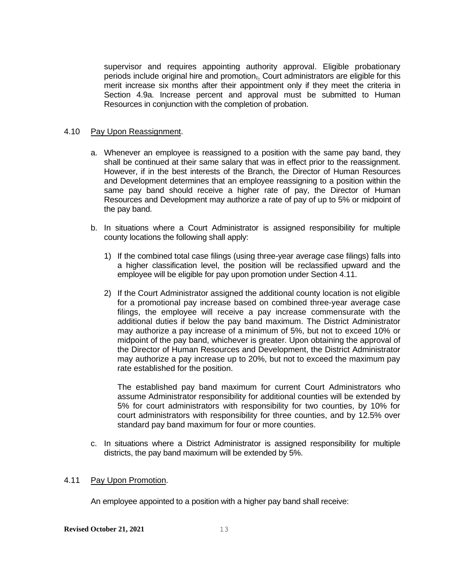supervisor and requires appointing authority approval. Eligible probationary periods include original hire and promotion,. Court administrators are eligible for this merit increase six months after their appointment only if they meet the criteria in Section 4.9a. Increase percent and approval must be submitted to Human Resources in conjunction with the completion of probation.

#### <span id="page-18-0"></span>4.10 Pay Upon Reassignment.

- a. Whenever an employee is reassigned to a position with the same pay band, they shall be continued at their same salary that was in effect prior to the reassignment. However, if in the best interests of the Branch, the Director of Human Resources and Development determines that an employee reassigning to a position within the same pay band should receive a higher rate of pay, the Director of Human Resources and Development may authorize a rate of pay of up to 5% or midpoint of the pay band.
- b. In situations where a Court Administrator is assigned responsibility for multiple county locations the following shall apply:
	- 1) If the combined total case filings (using three-year average case filings) falls into a higher classification level, the position will be reclassified upward and the employee will be eligible for pay upon promotion under Section 4.11.
	- 2) If the Court Administrator assigned the additional county location is not eligible for a promotional pay increase based on combined three-year average case filings, the employee will receive a pay increase commensurate with the additional duties if below the pay band maximum. The District Administrator may authorize a pay increase of a minimum of 5%, but not to exceed 10% or midpoint of the pay band, whichever is greater. Upon obtaining the approval of the Director of Human Resources and Development, the District Administrator may authorize a pay increase up to 20%, but not to exceed the maximum pay rate established for the position.

The established pay band maximum for current Court Administrators who assume Administrator responsibility for additional counties will be extended by 5% for court administrators with responsibility for two counties, by 10% for court administrators with responsibility for three counties, and by 12.5% over standard pay band maximum for four or more counties.

c. In situations where a District Administrator is assigned responsibility for multiple districts, the pay band maximum will be extended by 5%.

#### <span id="page-18-1"></span>4.11 Pay Upon Promotion.

An employee appointed to a position with a higher pay band shall receive: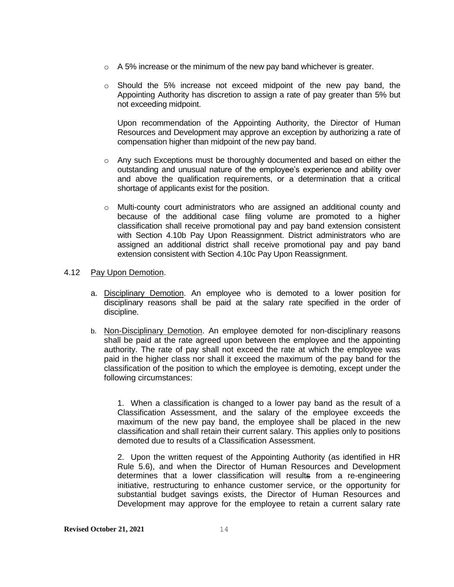- $\circ$  A 5% increase or the minimum of the new pay band whichever is greater.
- $\circ$  Should the 5% increase not exceed midpoint of the new pay band, the Appointing Authority has discretion to assign a rate of pay greater than 5% but not exceeding midpoint.

Upon recommendation of the Appointing Authority, the Director of Human Resources and Development may approve an exception by authorizing a rate of compensation higher than midpoint of the new pay band.

- $\circ$  Any such Exceptions must be thoroughly documented and based on either the outstanding and unusual nature of the employee's experience and ability over and above the qualification requirements, or a determination that a critical shortage of applicants exist for the position.
- $\circ$  Multi-county court administrators who are assigned an additional county and because of the additional case filing volume are promoted to a higher classification shall receive promotional pay and pay band extension consistent with Section 4.10b Pay Upon Reassignment. District administrators who are assigned an additional district shall receive promotional pay and pay band extension consistent with Section 4.10c Pay Upon Reassignment.

#### <span id="page-19-0"></span>4.12 Pay Upon Demotion.

- a. Disciplinary Demotion. An employee who is demoted to a lower position for disciplinary reasons shall be paid at the salary rate specified in the order of discipline.
- b. Non-Disciplinary Demotion. An employee demoted for non-disciplinary reasons shall be paid at the rate agreed upon between the employee and the appointing authority. The rate of pay shall not exceed the rate at which the employee was paid in the higher class nor shall it exceed the maximum of the pay band for the classification of the position to which the employee is demoting, except under the following circumstances:

1. When a classification is changed to a lower pay band as the result of a Classification Assessment, and the salary of the employee exceeds the maximum of the new pay band, the employee shall be placed in the new classification and shall retain their current salary. This applies only to positions demoted due to results of a Classification Assessment.

2. Upon the written request of the Appointing Authority (as identified in HR Rule 5.6), and when the Director of Human Resources and Development determines that a lower classification will results from a re-engineering initiative, restructuring to enhance customer service, or the opportunity for substantial budget savings exists, the Director of Human Resources and Development may approve for the employee to retain a current salary rate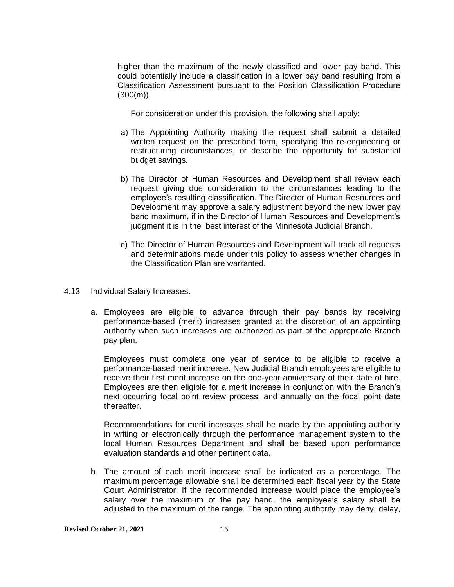higher than the maximum of the newly classified and lower pay band. This could potentially include a classification in a lower pay band resulting from a Classification Assessment pursuant to the Position Classification Procedure  $(300(m))$ .

For consideration under this provision, the following shall apply:

- a) The Appointing Authority making the request shall submit a detailed written request on the prescribed form, specifying the re-engineering or restructuring circumstances, or describe the opportunity for substantial budget savings.
- b) The Director of Human Resources and Development shall review each request giving due consideration to the circumstances leading to the employee's resulting classification. The Director of Human Resources and Development may approve a salary adjustment beyond the new lower pay band maximum, if in the Director of Human Resources and Development's judgment it is in the best interest of the Minnesota Judicial Branch.
- c) The Director of Human Resources and Development will track all requests and determinations made under this policy to assess whether changes in the Classification Plan are warranted.

#### <span id="page-20-0"></span>4.13 Individual Salary Increases.

a. Employees are eligible to advance through their pay bands by receiving performance-based (merit) increases granted at the discretion of an appointing authority when such increases are authorized as part of the appropriate Branch pay plan.

Employees must complete one year of service to be eligible to receive a performance-based merit increase. New Judicial Branch employees are eligible to receive their first merit increase on the one-year anniversary of their date of hire. Employees are then eligible for a merit increase in conjunction with the Branch's next occurring focal point review process, and annually on the focal point date thereafter.

Recommendations for merit increases shall be made by the appointing authority in writing or electronically through the performance management system to the local Human Resources Department and shall be based upon performance evaluation standards and other pertinent data.

b. The amount of each merit increase shall be indicated as a percentage. The maximum percentage allowable shall be determined each fiscal year by the State Court Administrator. If the recommended increase would place the employee's salary over the maximum of the pay band, the employee's salary shall be adjusted to the maximum of the range. The appointing authority may deny, delay,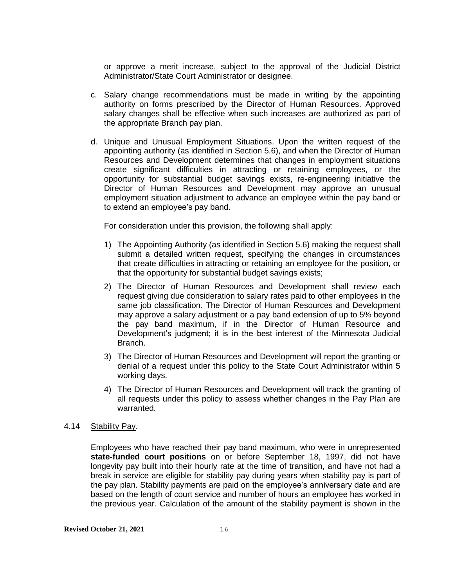or approve a merit increase, subject to the approval of the Judicial District Administrator/State Court Administrator or designee.

- c. Salary change recommendations must be made in writing by the appointing authority on forms prescribed by the Director of Human Resources. Approved salary changes shall be effective when such increases are authorized as part of the appropriate Branch pay plan.
- d. Unique and Unusual Employment Situations. Upon the written request of the appointing authority (as identified in Section 5.6), and when the Director of Human Resources and Development determines that changes in employment situations create significant difficulties in attracting or retaining employees, or the opportunity for substantial budget savings exists, re-engineering initiative the Director of Human Resources and Development may approve an unusual employment situation adjustment to advance an employee within the pay band or to extend an employee's pay band.

For consideration under this provision, the following shall apply:

- 1) The Appointing Authority (as identified in Section 5.6) making the request shall submit a detailed written request, specifying the changes in circumstances that create difficulties in attracting or retaining an employee for the position, or that the opportunity for substantial budget savings exists;
- 2) The Director of Human Resources and Development shall review each request giving due consideration to salary rates paid to other employees in the same job classification. The Director of Human Resources and Development may approve a salary adjustment or a pay band extension of up to 5% beyond the pay band maximum, if in the Director of Human Resource and Development's judgment; it is in the best interest of the Minnesota Judicial Branch.
- 3) The Director of Human Resources and Development will report the granting or denial of a request under this policy to the State Court Administrator within 5 working days.
- 4) The Director of Human Resources and Development will track the granting of all requests under this policy to assess whether changes in the Pay Plan are warranted.

#### <span id="page-21-0"></span>4.14 Stability Pay.

Employees who have reached their pay band maximum, who were in unrepresented **state-funded court positions** on or before September 18, 1997, did not have longevity pay built into their hourly rate at the time of transition, and have not had a break in service are eligible for stability pay during years when stability pay is part of the pay plan. Stability payments are paid on the employee's anniversary date and are based on the length of court service and number of hours an employee has worked in the previous year. Calculation of the amount of the stability payment is shown in the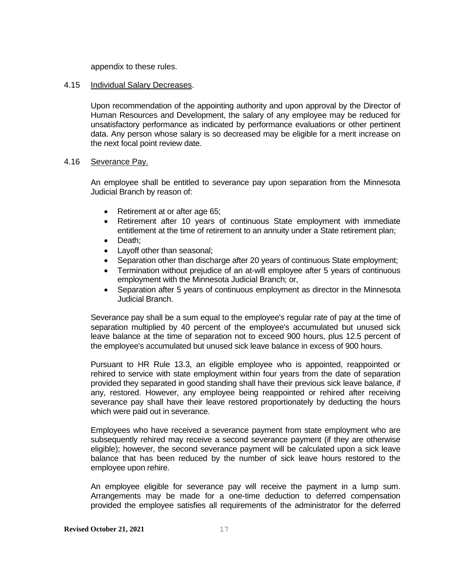appendix to these rules.

#### <span id="page-22-0"></span>4.15 Individual Salary Decreases.

Upon recommendation of the appointing authority and upon approval by the Director of Human Resources and Development, the salary of any employee may be reduced for unsatisfactory performance as indicated by performance evaluations or other pertinent data. Any person whose salary is so decreased may be eligible for a merit increase on the next focal point review date.

#### <span id="page-22-1"></span>4.16 Severance Pay.

An employee shall be entitled to severance pay upon separation from the Minnesota Judicial Branch by reason of:

- Retirement at or after age 65;
- Retirement after 10 years of continuous State employment with immediate entitlement at the time of retirement to an annuity under a State retirement plan;
- Death;
- Layoff other than seasonal;
- Separation other than discharge after 20 years of continuous State employment;
- Termination without prejudice of an at-will employee after 5 years of continuous employment with the Minnesota Judicial Branch; or,
- Separation after 5 years of continuous employment as director in the Minnesota Judicial Branch.

Severance pay shall be a sum equal to the employee's regular rate of pay at the time of separation multiplied by 40 percent of the employee's accumulated but unused sick leave balance at the time of separation not to exceed 900 hours, plus 12.5 percent of the employee's accumulated but unused sick leave balance in excess of 900 hours.

Pursuant to HR Rule 13.3, an eligible employee who is appointed, reappointed or rehired to service with state employment within four years from the date of separation provided they separated in good standing shall have their previous sick leave balance, if any, restored. However, any employee being reappointed or rehired after receiving severance pay shall have their leave restored proportionately by deducting the hours which were paid out in severance.

Employees who have received a severance payment from state employment who are subsequently rehired may receive a second severance payment (if they are otherwise eligible); however, the second severance payment will be calculated upon a sick leave balance that has been reduced by the number of sick leave hours restored to the employee upon rehire.

An employee eligible for severance pay will receive the payment in a lump sum. Arrangements may be made for a one-time deduction to deferred compensation provided the employee satisfies all requirements of the administrator for the deferred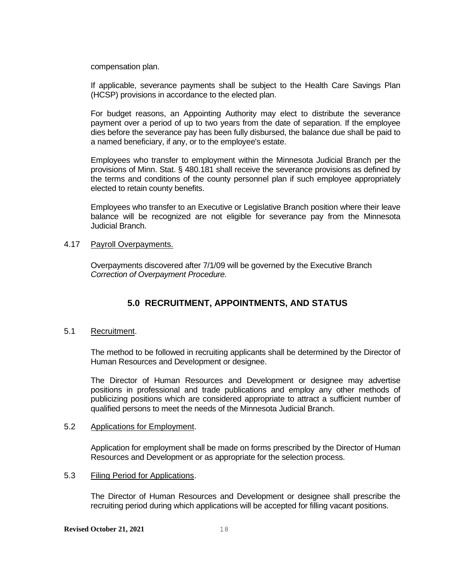compensation plan.

If applicable, severance payments shall be subject to the Health Care Savings Plan (HCSP) provisions in accordance to the elected plan.

For budget reasons, an Appointing Authority may elect to distribute the severance payment over a period of up to two years from the date of separation. If the employee dies before the severance pay has been fully disbursed, the balance due shall be paid to a named beneficiary, if any, or to the employee's estate.

Employees who transfer to employment within the Minnesota Judicial Branch per the provisions of Minn. Stat. § 480.181 shall receive the severance provisions as defined by the terms and conditions of the county personnel plan if such employee appropriately elected to retain county benefits.

Employees who transfer to an Executive or Legislative Branch position where their leave balance will be recognized are not eligible for severance pay from the Minnesota Judicial Branch.

#### <span id="page-23-0"></span>4.17 Payroll Overpayments.

Overpayments discovered after 7/1/09 will be governed by the Executive Branch *Correction of Overpayment Procedure.* 

# <span id="page-23-1"></span>**5.0 RECRUITMENT, APPOINTMENTS, AND STATUS**

#### <span id="page-23-2"></span>5.1 Recruitment.

The method to be followed in recruiting applicants shall be determined by the Director of Human Resources and Development or designee.

The Director of Human Resources and Development or designee may advertise positions in professional and trade publications and employ any other methods of publicizing positions which are considered appropriate to attract a sufficient number of qualified persons to meet the needs of the Minnesota Judicial Branch.

#### <span id="page-23-3"></span>5.2 Applications for Employment.

Application for employment shall be made on forms prescribed by the Director of Human Resources and Development or as appropriate for the selection process.

#### <span id="page-23-4"></span>5.3 Filing Period for Applications.

The Director of Human Resources and Development or designee shall prescribe the recruiting period during which applications will be accepted for filling vacant positions.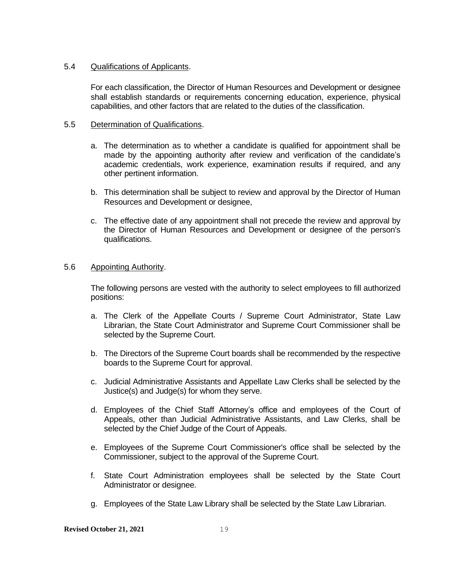#### <span id="page-24-0"></span>5.4 Qualifications of Applicants.

For each classification, the Director of Human Resources and Development or designee shall establish standards or requirements concerning education, experience, physical capabilities, and other factors that are related to the duties of the classification.

#### <span id="page-24-1"></span>5.5 Determination of Qualifications.

- a. The determination as to whether a candidate is qualified for appointment shall be made by the appointing authority after review and verification of the candidate's academic credentials, work experience, examination results if required, and any other pertinent information.
- b. This determination shall be subject to review and approval by the Director of Human Resources and Development or designee,
- c. The effective date of any appointment shall not precede the review and approval by the Director of Human Resources and Development or designee of the person's qualifications.

#### <span id="page-24-2"></span>5.6 Appointing Authority.

The following persons are vested with the authority to select employees to fill authorized positions:

- a. The Clerk of the Appellate Courts / Supreme Court Administrator, State Law Librarian, the State Court Administrator and Supreme Court Commissioner shall be selected by the Supreme Court.
- b. The Directors of the Supreme Court boards shall be recommended by the respective boards to the Supreme Court for approval.
- c. Judicial Administrative Assistants and Appellate Law Clerks shall be selected by the Justice(s) and Judge(s) for whom they serve.
- d. Employees of the Chief Staff Attorney's office and employees of the Court of Appeals, other than Judicial Administrative Assistants, and Law Clerks, shall be selected by the Chief Judge of the Court of Appeals.
- e. Employees of the Supreme Court Commissioner's office shall be selected by the Commissioner, subject to the approval of the Supreme Court.
- f. State Court Administration employees shall be selected by the State Court Administrator or designee.
- g. Employees of the State Law Library shall be selected by the State Law Librarian.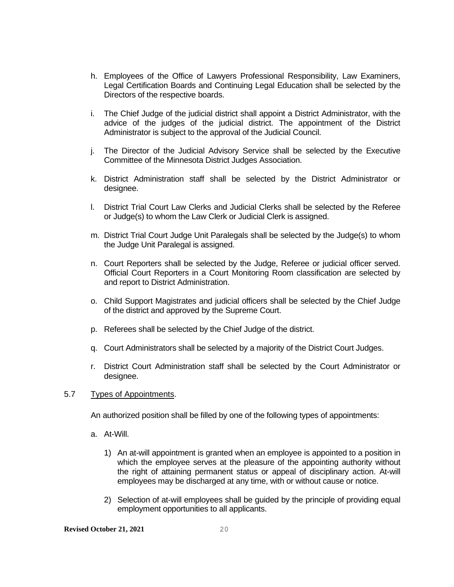- h. Employees of the Office of Lawyers Professional Responsibility, Law Examiners, Legal Certification Boards and Continuing Legal Education shall be selected by the Directors of the respective boards.
- i. The Chief Judge of the judicial district shall appoint a District Administrator, with the advice of the judges of the judicial district. The appointment of the District Administrator is subject to the approval of the Judicial Council.
- j. The Director of the Judicial Advisory Service shall be selected by the Executive Committee of the Minnesota District Judges Association.
- k. District Administration staff shall be selected by the District Administrator or designee.
- l. District Trial Court Law Clerks and Judicial Clerks shall be selected by the Referee or Judge(s) to whom the Law Clerk or Judicial Clerk is assigned.
- m. District Trial Court Judge Unit Paralegals shall be selected by the Judge(s) to whom the Judge Unit Paralegal is assigned.
- n. Court Reporters shall be selected by the Judge, Referee or judicial officer served. Official Court Reporters in a Court Monitoring Room classification are selected by and report to District Administration.
- o. Child Support Magistrates and judicial officers shall be selected by the Chief Judge of the district and approved by the Supreme Court.
- p. Referees shall be selected by the Chief Judge of the district.
- q. Court Administrators shall be selected by a majority of the District Court Judges.
- r. District Court Administration staff shall be selected by the Court Administrator or designee.

#### <span id="page-25-0"></span>5.7 Types of Appointments.

An authorized position shall be filled by one of the following types of appointments:

- a. At-Will.
	- 1) An at-will appointment is granted when an employee is appointed to a position in which the employee serves at the pleasure of the appointing authority without the right of attaining permanent status or appeal of disciplinary action. At-will employees may be discharged at any time, with or without cause or notice.
	- 2) Selection of at-will employees shall be guided by the principle of providing equal employment opportunities to all applicants.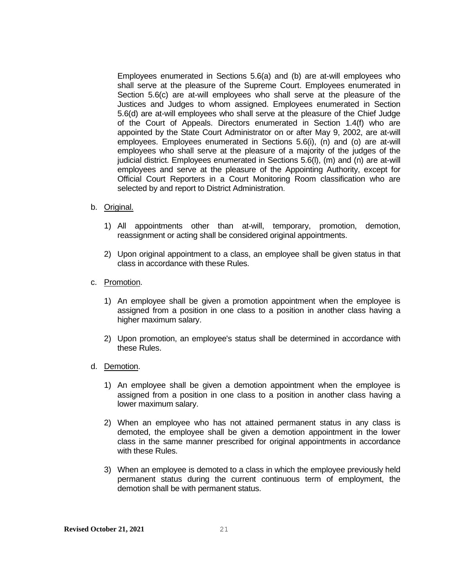Employees enumerated in Sections 5.6(a) and (b) are at-will employees who shall serve at the pleasure of the Supreme Court. Employees enumerated in Section 5.6(c) are at-will employees who shall serve at the pleasure of the Justices and Judges to whom assigned. Employees enumerated in Section 5.6(d) are at-will employees who shall serve at the pleasure of the Chief Judge of the Court of Appeals. Directors enumerated in Section 1.4(f) who are appointed by the State Court Administrator on or after May 9, 2002, are at-will employees. Employees enumerated in Sections 5.6(i), (n) and (o) are at-will employees who shall serve at the pleasure of a majority of the judges of the judicial district. Employees enumerated in Sections 5.6(l), (m) and (n) are at-will employees and serve at the pleasure of the Appointing Authority, except for Official Court Reporters in a Court Monitoring Room classification who are selected by and report to District Administration.

- b. Original.
	- 1) All appointments other than at-will, temporary, promotion, demotion, reassignment or acting shall be considered original appointments.
	- 2) Upon original appointment to a class, an employee shall be given status in that class in accordance with these Rules.
- c. Promotion.
	- 1) An employee shall be given a promotion appointment when the employee is assigned from a position in one class to a position in another class having a higher maximum salary.
	- 2) Upon promotion, an employee's status shall be determined in accordance with these Rules.
- d. Demotion.
	- 1) An employee shall be given a demotion appointment when the employee is assigned from a position in one class to a position in another class having a lower maximum salary.
	- 2) When an employee who has not attained permanent status in any class is demoted, the employee shall be given a demotion appointment in the lower class in the same manner prescribed for original appointments in accordance with these Rules.
	- 3) When an employee is demoted to a class in which the employee previously held permanent status during the current continuous term of employment, the demotion shall be with permanent status.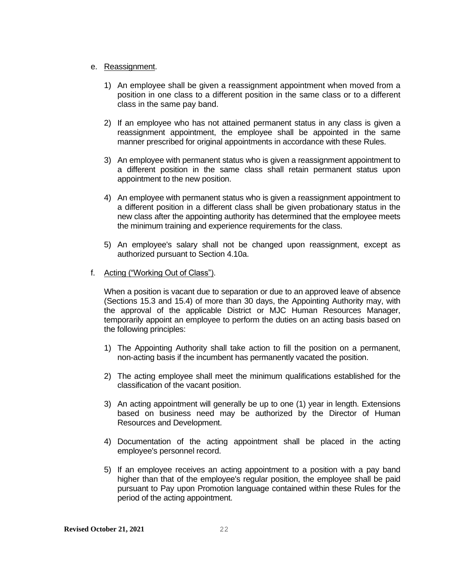#### e. Reassignment.

- 1) An employee shall be given a reassignment appointment when moved from a position in one class to a different position in the same class or to a different class in the same pay band.
- 2) If an employee who has not attained permanent status in any class is given a reassignment appointment, the employee shall be appointed in the same manner prescribed for original appointments in accordance with these Rules.
- 3) An employee with permanent status who is given a reassignment appointment to a different position in the same class shall retain permanent status upon appointment to the new position.
- 4) An employee with permanent status who is given a reassignment appointment to a different position in a different class shall be given probationary status in the new class after the appointing authority has determined that the employee meets the minimum training and experience requirements for the class.
- 5) An employee's salary shall not be changed upon reassignment, except as authorized pursuant to Section 4.10a.

#### f. Acting ("Working Out of Class").

When a position is vacant due to separation or due to an approved leave of absence (Sections 15.3 and 15.4) of more than 30 days, the Appointing Authority may, with the approval of the applicable District or MJC Human Resources Manager, temporarily appoint an employee to perform the duties on an acting basis based on the following principles:

- 1) The Appointing Authority shall take action to fill the position on a permanent, non-acting basis if the incumbent has permanently vacated the position.
- 2) The acting employee shall meet the minimum qualifications established for the classification of the vacant position.
- 3) An acting appointment will generally be up to one (1) year in length. Extensions based on business need may be authorized by the Director of Human Resources and Development.
- 4) Documentation of the acting appointment shall be placed in the acting employee's personnel record.
- 5) If an employee receives an acting appointment to a position with a pay band higher than that of the employee's regular position, the employee shall be paid pursuant to Pay upon Promotion language contained within these Rules for the period of the acting appointment.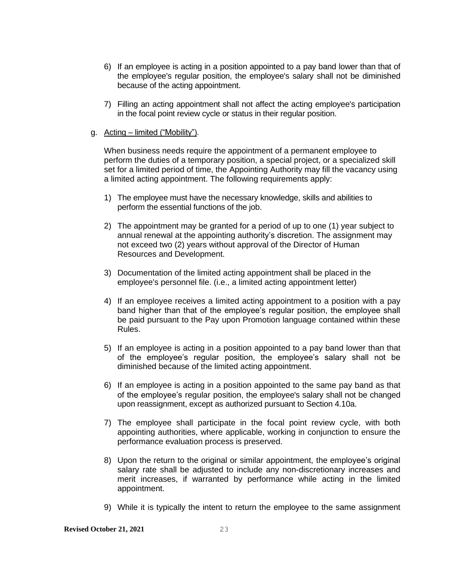- 6) If an employee is acting in a position appointed to a pay band lower than that of the employee's regular position, the employee's salary shall not be diminished because of the acting appointment.
- 7) Filling an acting appointment shall not affect the acting employee's participation in the focal point review cycle or status in their regular position.
- g. Acting limited ("Mobility").

When business needs require the appointment of a permanent employee to perform the duties of a temporary position, a special project, or a specialized skill set for a limited period of time, the Appointing Authority may fill the vacancy using a limited acting appointment. The following requirements apply:

- 1) The employee must have the necessary knowledge, skills and abilities to perform the essential functions of the job.
- 2) The appointment may be granted for a period of up to one (1) year subject to annual renewal at the appointing authority's discretion. The assignment may not exceed two (2) years without approval of the Director of Human Resources and Development.
- 3) Documentation of the limited acting appointment shall be placed in the employee's personnel file. (i.e., a limited acting appointment letter)
- 4) If an employee receives a limited acting appointment to a position with a pay band higher than that of the employee's regular position, the employee shall be paid pursuant to the Pay upon Promotion language contained within these Rules.
- 5) If an employee is acting in a position appointed to a pay band lower than that of the employee's regular position, the employee's salary shall not be diminished because of the limited acting appointment.
- 6) If an employee is acting in a position appointed to the same pay band as that of the employee's regular position, the employee's salary shall not be changed upon reassignment, except as authorized pursuant to Section 4.10a.
- 7) The employee shall participate in the focal point review cycle, with both appointing authorities, where applicable, working in conjunction to ensure the performance evaluation process is preserved.
- 8) Upon the return to the original or similar appointment, the employee's original salary rate shall be adjusted to include any non-discretionary increases and merit increases, if warranted by performance while acting in the limited appointment.
- 9) While it is typically the intent to return the employee to the same assignment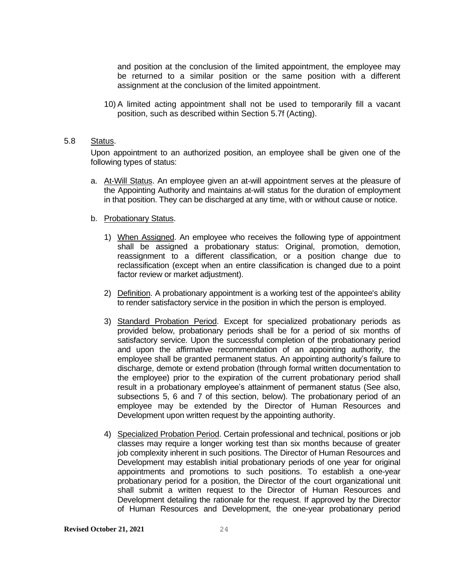and position at the conclusion of the limited appointment, the employee may be returned to a similar position or the same position with a different assignment at the conclusion of the limited appointment.

10) A limited acting appointment shall not be used to temporarily fill a vacant position, such as described within Section 5.7f (Acting).

#### <span id="page-29-0"></span>5.8 Status.

Upon appointment to an authorized position, an employee shall be given one of the following types of status:

a. At-Will Status. An employee given an at-will appointment serves at the pleasure of the Appointing Authority and maintains at-will status for the duration of employment in that position. They can be discharged at any time, with or without cause or notice.

#### b. Probationary Status.

- 1) When Assigned. An employee who receives the following type of appointment shall be assigned a probationary status: Original, promotion, demotion, reassignment to a different classification, or a position change due to reclassification (except when an entire classification is changed due to a point factor review or market adjustment).
- 2) Definition. A probationary appointment is a working test of the appointee's ability to render satisfactory service in the position in which the person is employed.
- 3) Standard Probation Period. Except for specialized probationary periods as provided below, probationary periods shall be for a period of six months of satisfactory service. Upon the successful completion of the probationary period and upon the affirmative recommendation of an appointing authority, the employee shall be granted permanent status. An appointing authority's failure to discharge, demote or extend probation (through formal written documentation to the employee) prior to the expiration of the current probationary period shall result in a probationary employee's attainment of permanent status (See also, subsections 5, 6 and 7 of this section, below). The probationary period of an employee may be extended by the Director of Human Resources and Development upon written request by the appointing authority.
- 4) Specialized Probation Period. Certain professional and technical, positions or job classes may require a longer working test than six months because of greater job complexity inherent in such positions. The Director of Human Resources and Development may establish initial probationary periods of one year for original appointments and promotions to such positions. To establish a one-year probationary period for a position, the Director of the court organizational unit shall submit a written request to the Director of Human Resources and Development detailing the rationale for the request. If approved by the Director of Human Resources and Development, the one-year probationary period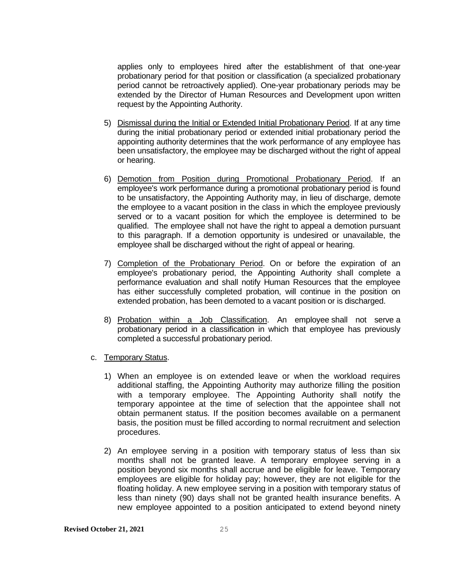applies only to employees hired after the establishment of that one-year probationary period for that position or classification (a specialized probationary period cannot be retroactively applied). One-year probationary periods may be extended by the Director of Human Resources and Development upon written request by the Appointing Authority.

- 5) Dismissal during the Initial or Extended Initial Probationary Period. If at any time during the initial probationary period or extended initial probationary period the appointing authority determines that the work performance of any employee has been unsatisfactory, the employee may be discharged without the right of appeal or hearing.
- 6) Demotion from Position during Promotional Probationary Period. If an employee's work performance during a promotional probationary period is found to be unsatisfactory, the Appointing Authority may, in lieu of discharge, demote the employee to a vacant position in the class in which the employee previously served or to a vacant position for which the employee is determined to be qualified. The employee shall not have the right to appeal a demotion pursuant to this paragraph. If a demotion opportunity is undesired or unavailable, the employee shall be discharged without the right of appeal or hearing.
- 7) Completion of the Probationary Period. On or before the expiration of an employee's probationary period, the Appointing Authority shall complete a performance evaluation and shall notify Human Resources that the employee has either successfully completed probation, will continue in the position on extended probation, has been demoted to a vacant position or is discharged.
- 8) Probation within a Job Classification. An employee shall not serve a probationary period in a classification in which that employee has previously completed a successful probationary period.
- c. Temporary Status.
	- 1) When an employee is on extended leave or when the workload requires additional staffing, the Appointing Authority may authorize filling the position with a temporary employee. The Appointing Authority shall notify the temporary appointee at the time of selection that the appointee shall not obtain permanent status. If the position becomes available on a permanent basis, the position must be filled according to normal recruitment and selection procedures.
	- 2) An employee serving in a position with temporary status of less than six months shall not be granted leave. A temporary employee serving in a position beyond six months shall accrue and be eligible for leave. Temporary employees are eligible for holiday pay; however, they are not eligible for the floating holiday. A new employee serving in a position with temporary status of less than ninety (90) days shall not be granted health insurance benefits. A new employee appointed to a position anticipated to extend beyond ninety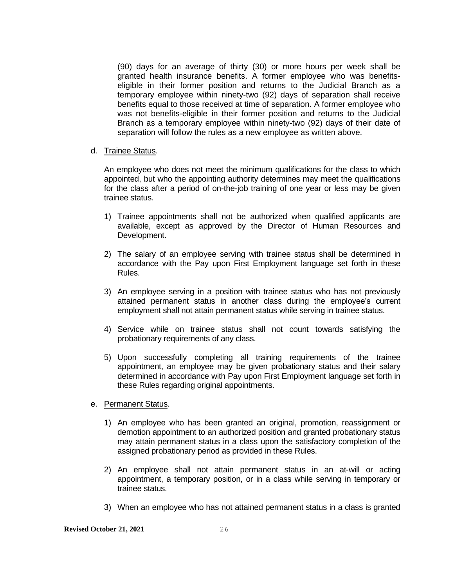(90) days for an average of thirty (30) or more hours per week shall be granted health insurance benefits. A former employee who was benefitseligible in their former position and returns to the Judicial Branch as a temporary employee within ninety-two (92) days of separation shall receive benefits equal to those received at time of separation. A former employee who was not benefits-eligible in their former position and returns to the Judicial Branch as a temporary employee within ninety-two (92) days of their date of separation will follow the rules as a new employee as written above.

#### d. Trainee Status.

An employee who does not meet the minimum qualifications for the class to which appointed, but who the appointing authority determines may meet the qualifications for the class after a period of on-the-job training of one year or less may be given trainee status.

- 1) Trainee appointments shall not be authorized when qualified applicants are available, except as approved by the Director of Human Resources and Development.
- 2) The salary of an employee serving with trainee status shall be determined in accordance with the Pay upon First Employment language set forth in these Rules.
- 3) An employee serving in a position with trainee status who has not previously attained permanent status in another class during the employee's current employment shall not attain permanent status while serving in trainee status.
- 4) Service while on trainee status shall not count towards satisfying the probationary requirements of any class.
- 5) Upon successfully completing all training requirements of the trainee appointment, an employee may be given probationary status and their salary determined in accordance with Pay upon First Employment language set forth in these Rules regarding original appointments.
- e. Permanent Status.
	- 1) An employee who has been granted an original, promotion, reassignment or demotion appointment to an authorized position and granted probationary status may attain permanent status in a class upon the satisfactory completion of the assigned probationary period as provided in these Rules.
	- 2) An employee shall not attain permanent status in an at-will or acting appointment, a temporary position, or in a class while serving in temporary or trainee status.
	- 3) When an employee who has not attained permanent status in a class is granted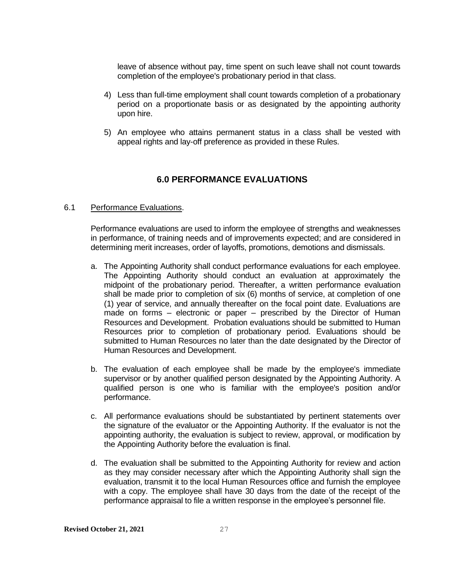leave of absence without pay, time spent on such leave shall not count towards completion of the employee's probationary period in that class.

- 4) Less than full-time employment shall count towards completion of a probationary period on a proportionate basis or as designated by the appointing authority upon hire.
- 5) An employee who attains permanent status in a class shall be vested with appeal rights and lay-off preference as provided in these Rules.

# **6.0 PERFORMANCE EVALUATIONS**

#### <span id="page-32-1"></span><span id="page-32-0"></span>6.1 Performance Evaluations.

Performance evaluations are used to inform the employee of strengths and weaknesses in performance, of training needs and of improvements expected; and are considered in determining merit increases, order of layoffs, promotions, demotions and dismissals.

- a. The Appointing Authority shall conduct performance evaluations for each employee. The Appointing Authority should conduct an evaluation at approximately the midpoint of the probationary period. Thereafter, a written performance evaluation shall be made prior to completion of six (6) months of service, at completion of one (1) year of service, and annually thereafter on the focal point date. Evaluations are made on forms – electronic or paper – prescribed by the Director of Human Resources and Development. Probation evaluations should be submitted to Human Resources prior to completion of probationary period. Evaluations should be submitted to Human Resources no later than the date designated by the Director of Human Resources and Development.
- b. The evaluation of each employee shall be made by the employee's immediate supervisor or by another qualified person designated by the Appointing Authority. A qualified person is one who is familiar with the employee's position and/or performance.
- c. All performance evaluations should be substantiated by pertinent statements over the signature of the evaluator or the Appointing Authority. If the evaluator is not the appointing authority, the evaluation is subject to review, approval, or modification by the Appointing Authority before the evaluation is final.
- d. The evaluation shall be submitted to the Appointing Authority for review and action as they may consider necessary after which the Appointing Authority shall sign the evaluation, transmit it to the local Human Resources office and furnish the employee with a copy. The employee shall have 30 days from the date of the receipt of the performance appraisal to file a written response in the employee's personnel file.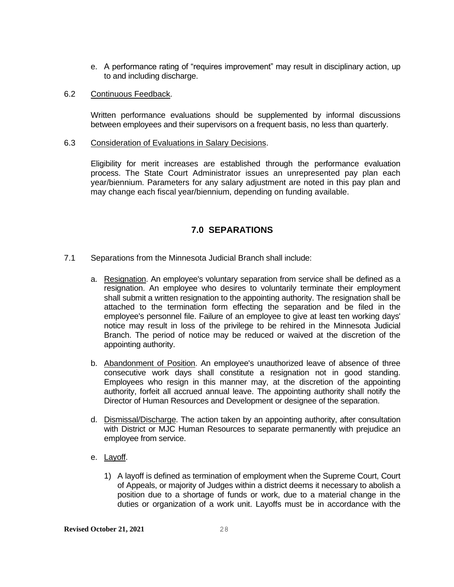e. A performance rating of "requires improvement" may result in disciplinary action, up to and including discharge.

#### <span id="page-33-0"></span>6.2 Continuous Feedback.

Written performance evaluations should be supplemented by informal discussions between employees and their supervisors on a frequent basis, no less than quarterly.

#### <span id="page-33-1"></span>6.3 Consideration of Evaluations in Salary Decisions.

Eligibility for merit increases are established through the performance evaluation process. The State Court Administrator issues an unrepresented pay plan each year/biennium. Parameters for any salary adjustment are noted in this pay plan and may change each fiscal year/biennium, depending on funding available.

# **7.0 SEPARATIONS**

- <span id="page-33-3"></span><span id="page-33-2"></span>7.1 Separations from the Minnesota Judicial Branch shall include:
	- a. Resignation. An employee's voluntary separation from service shall be defined as a resignation. An employee who desires to voluntarily terminate their employment shall submit a written resignation to the appointing authority. The resignation shall be attached to the termination form effecting the separation and be filed in the employee's personnel file. Failure of an employee to give at least ten working days' notice may result in loss of the privilege to be rehired in the Minnesota Judicial Branch. The period of notice may be reduced or waived at the discretion of the appointing authority.
	- b. Abandonment of Position. An employee's unauthorized leave of absence of three consecutive work days shall constitute a resignation not in good standing. Employees who resign in this manner may, at the discretion of the appointing authority, forfeit all accrued annual leave. The appointing authority shall notify the Director of Human Resources and Development or designee of the separation.
	- d. Dismissal/Discharge. The action taken by an appointing authority, after consultation with District or MJC Human Resources to separate permanently with prejudice an employee from service.
	- e. Layoff.
		- 1) A layoff is defined as termination of employment when the Supreme Court, Court of Appeals, or majority of Judges within a district deems it necessary to abolish a position due to a shortage of funds or work, due to a material change in the duties or organization of a work unit. Layoffs must be in accordance with the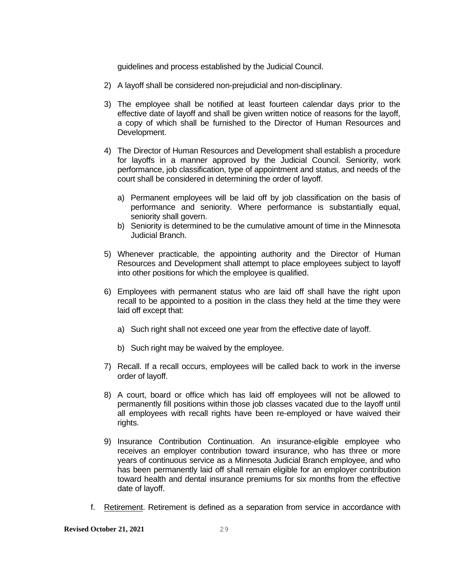guidelines and process established by the Judicial Council.

- 2) A layoff shall be considered non-prejudicial and non-disciplinary.
- 3) The employee shall be notified at least fourteen calendar days prior to the effective date of layoff and shall be given written notice of reasons for the layoff, a copy of which shall be furnished to the Director of Human Resources and Development.
- 4) The Director of Human Resources and Development shall establish a procedure for layoffs in a manner approved by the Judicial Council. Seniority, work performance, job classification, type of appointment and status, and needs of the court shall be considered in determining the order of layoff.
	- a) Permanent employees will be laid off by job classification on the basis of performance and seniority. Where performance is substantially equal, seniority shall govern.
	- b) Seniority is determined to be the cumulative amount of time in the Minnesota Judicial Branch.
- 5) Whenever practicable, the appointing authority and the Director of Human Resources and Development shall attempt to place employees subject to layoff into other positions for which the employee is qualified.
- 6) Employees with permanent status who are laid off shall have the right upon recall to be appointed to a position in the class they held at the time they were laid off except that:
	- a) Such right shall not exceed one year from the effective date of layoff.
	- b) Such right may be waived by the employee.
- 7) Recall. If a recall occurs, employees will be called back to work in the inverse order of layoff.
- 8) A court, board or office which has laid off employees will not be allowed to permanently fill positions within those job classes vacated due to the layoff until all employees with recall rights have been re-employed or have waived their rights.
- 9) Insurance Contribution Continuation. An insurance-eligible employee who receives an employer contribution toward insurance, who has three or more years of continuous service as a Minnesota Judicial Branch employee, and who has been permanently laid off shall remain eligible for an employer contribution toward health and dental insurance premiums for six months from the effective date of layoff.
- f. Retirement. Retirement is defined as a separation from service in accordance with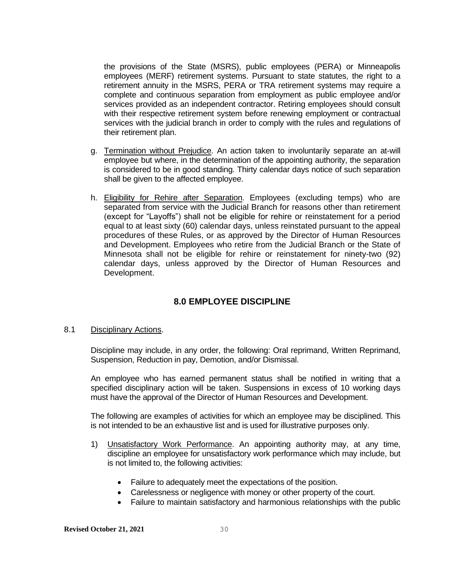the provisions of the State (MSRS), public employees (PERA) or Minneapolis employees (MERF) retirement systems. Pursuant to state statutes, the right to a retirement annuity in the MSRS, PERA or TRA retirement systems may require a complete and continuous separation from employment as public employee and/or services provided as an independent contractor. Retiring employees should consult with their respective retirement system before renewing employment or contractual services with the judicial branch in order to comply with the rules and regulations of their retirement plan.

- g. Termination without Prejudice. An action taken to involuntarily separate an at-will employee but where, in the determination of the appointing authority, the separation is considered to be in good standing. Thirty calendar days notice of such separation shall be given to the affected employee.
- h. Eligibility for Rehire after Separation. Employees (excluding temps) who are separated from service with the Judicial Branch for reasons other than retirement (except for "Layoffs") shall not be eligible for rehire or reinstatement for a period equal to at least sixty (60) calendar days, unless reinstated pursuant to the appeal procedures of these Rules, or as approved by the Director of Human Resources and Development. Employees who retire from the Judicial Branch or the State of Minnesota shall not be eligible for rehire or reinstatement for ninety-two (92) calendar days, unless approved by the Director of Human Resources and Development.

# **8.0 EMPLOYEE DISCIPLINE**

#### <span id="page-35-1"></span><span id="page-35-0"></span>8.1 Disciplinary Actions.

Discipline may include, in any order, the following: Oral reprimand, Written Reprimand, Suspension, Reduction in pay, Demotion, and/or Dismissal.

An employee who has earned permanent status shall be notified in writing that a specified disciplinary action will be taken. Suspensions in excess of 10 working days must have the approval of the Director of Human Resources and Development.

The following are examples of activities for which an employee may be disciplined. This is not intended to be an exhaustive list and is used for illustrative purposes only.

- 1) Unsatisfactory Work Performance. An appointing authority may, at any time, discipline an employee for unsatisfactory work performance which may include, but is not limited to, the following activities:
	- Failure to adequately meet the expectations of the position.
	- Carelessness or negligence with money or other property of the court.
	- Failure to maintain satisfactory and harmonious relationships with the public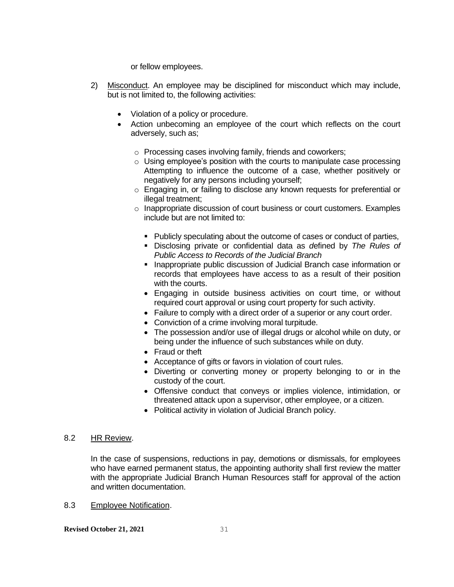or fellow employees.

- 2) Misconduct. An employee may be disciplined for misconduct which may include, but is not limited to, the following activities:
	- Violation of a policy or procedure.
	- Action unbecoming an employee of the court which reflects on the court adversely, such as;
		- o Processing cases involving family, friends and coworkers;
		- $\circ$  Using employee's position with the courts to manipulate case processing Attempting to influence the outcome of a case, whether positively or negatively for any persons including yourself;
		- o Engaging in, or failing to disclose any known requests for preferential or illegal treatment;
		- o Inappropriate discussion of court business or court customers. Examples include but are not limited to:
			- Publicly speculating about the outcome of cases or conduct of parties,
			- Disclosing private or confidential data as *d*efined by *The Rules of Public Access to Records of the Judicial Branch*
			- **.** Inappropriate public discussion of Judicial Branch case information or records that employees have access to as a result of their position with the courts.
			- Engaging in outside business activities on court time, or without required court approval or using court property for such activity.
			- Failure to comply with a direct order of a superior or any court order.
			- Conviction of a crime involving moral turpitude.
			- The possession and/or use of illegal drugs or alcohol while on duty, or being under the influence of such substances while on duty.
			- Fraud or theft
			- Acceptance of gifts or favors in violation of court rules.
			- Diverting or converting money or property belonging to or in the custody of the court.
			- Offensive conduct that conveys or implies violence, intimidation, or threatened attack upon a supervisor, other employee, or a citizen.
			- Political activity in violation of Judicial Branch policy.

### 8.2 HR Review.

In the case of suspensions, reductions in pay, demotions or dismissals, for employees who have earned permanent status, the appointing authority shall first review the matter with the appropriate Judicial Branch Human Resources staff for approval of the action and written documentation.

8.3 Employee Notification.

**Revised October 21, 2021** 31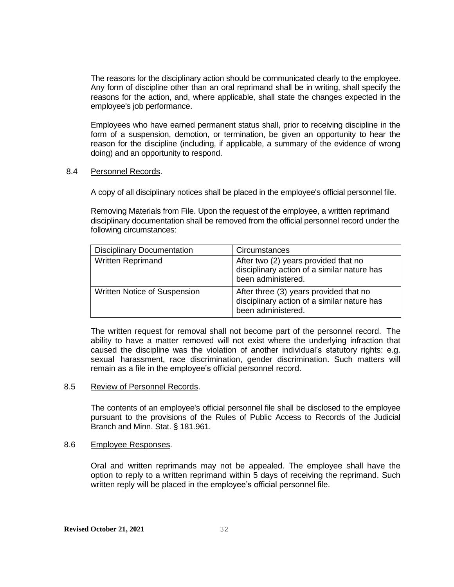The reasons for the disciplinary action should be communicated clearly to the employee. Any form of discipline other than an oral reprimand shall be in writing, shall specify the reasons for the action, and, where applicable, shall state the changes expected in the employee's job performance.

Employees who have earned permanent status shall, prior to receiving discipline in the form of a suspension, demotion, or termination, be given an opportunity to hear the reason for the discipline (including, if applicable, a summary of the evidence of wrong doing) and an opportunity to respond.

#### 8.4 Personnel Records.

A copy of all disciplinary notices shall be placed in the employee's official personnel file.

Removing Materials from File. Upon the request of the employee, a written reprimand disciplinary documentation shall be removed from the official personnel record under the following circumstances:

| <b>Disciplinary Documentation</b> | Circumstances                                                                                               |
|-----------------------------------|-------------------------------------------------------------------------------------------------------------|
| <b>Written Reprimand</b>          | After two (2) years provided that no<br>disciplinary action of a similar nature has<br>been administered.   |
| Written Notice of Suspension      | After three (3) years provided that no<br>disciplinary action of a similar nature has<br>been administered. |

The written request for removal shall not become part of the personnel record. The ability to have a matter removed will not exist where the underlying infraction that caused the discipline was the violation of another individual's statutory rights: e.g. sexual harassment, race discrimination, gender discrimination. Such matters will remain as a file in the employee's official personnel record.

#### 8.5 Review of Personnel Records.

The contents of an employee's official personnel file shall be disclosed to the employee pursuant to the provisions of the Rules of Public Access to Records of the Judicial Branch and Minn. Stat. § 181.961.

#### 8.6 Employee Responses.

Oral and written reprimands may not be appealed. The employee shall have the option to reply to a written reprimand within 5 days of receiving the reprimand. Such written reply will be placed in the employee's official personnel file.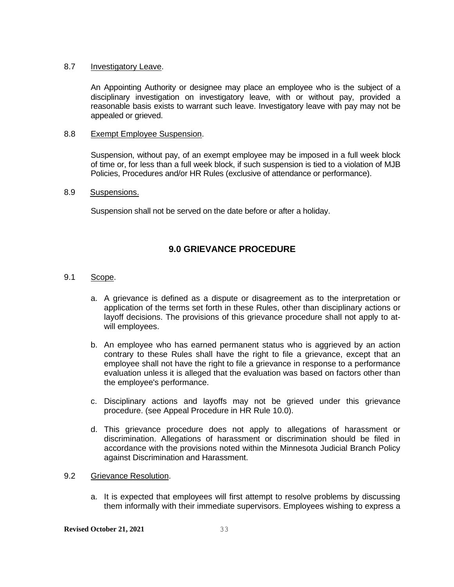### 8.7 Investigatory Leave.

An Appointing Authority or designee may place an employee who is the subject of a disciplinary investigation on investigatory leave, with or without pay, provided a reasonable basis exists to warrant such leave. Investigatory leave with pay may not be appealed or grieved.

## 8.8 Exempt Employee Suspension.

Suspension, without pay, of an exempt employee may be imposed in a full week block of time or, for less than a full week block, if such suspension is tied to a violation of MJB Policies, Procedures and/or HR Rules (exclusive of attendance or performance).

## 8.9 Suspensions.

Suspension shall not be served on the date before or after a holiday.

# **9.0 GRIEVANCE PROCEDURE**

- 9.1 Scope.
	- a. A grievance is defined as a dispute or disagreement as to the interpretation or application of the terms set forth in these Rules, other than disciplinary actions or layoff decisions. The provisions of this grievance procedure shall not apply to atwill employees.
	- b. An employee who has earned permanent status who is aggrieved by an action contrary to these Rules shall have the right to file a grievance, except that an employee shall not have the right to file a grievance in response to a performance evaluation unless it is alleged that the evaluation was based on factors other than the employee's performance.
	- c. Disciplinary actions and layoffs may not be grieved under this grievance procedure. (see Appeal Procedure in HR Rule 10.0).
	- d. This grievance procedure does not apply to allegations of harassment or discrimination. Allegations of harassment or discrimination should be filed in accordance with the provisions noted within the Minnesota Judicial Branch Policy against Discrimination and Harassment.

#### 9.2 Grievance Resolution.

a. It is expected that employees will first attempt to resolve problems by discussing them informally with their immediate supervisors. Employees wishing to express a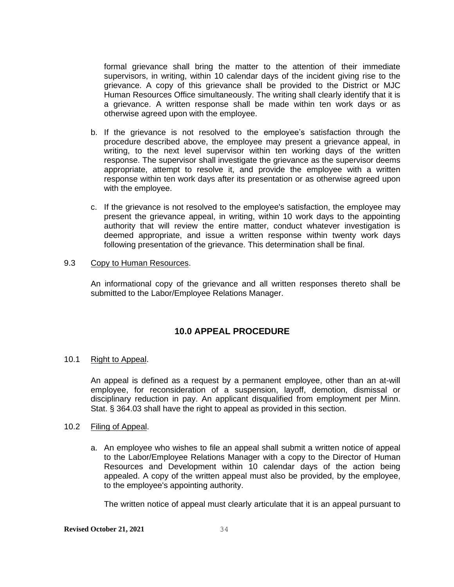formal grievance shall bring the matter to the attention of their immediate supervisors, in writing, within 10 calendar days of the incident giving rise to the grievance. A copy of this grievance shall be provided to the District or MJC Human Resources Office simultaneously. The writing shall clearly identify that it is a grievance. A written response shall be made within ten work days or as otherwise agreed upon with the employee.

- b. If the grievance is not resolved to the employee's satisfaction through the procedure described above, the employee may present a grievance appeal, in writing, to the next level supervisor within ten working days of the written response. The supervisor shall investigate the grievance as the supervisor deems appropriate, attempt to resolve it, and provide the employee with a written response within ten work days after its presentation or as otherwise agreed upon with the employee.
- c. If the grievance is not resolved to the employee's satisfaction, the employee may present the grievance appeal, in writing, within 10 work days to the appointing authority that will review the entire matter, conduct whatever investigation is deemed appropriate, and issue a written response within twenty work days following presentation of the grievance. This determination shall be final.

#### 9.3 Copy to Human Resources.

An informational copy of the grievance and all written responses thereto shall be submitted to the Labor/Employee Relations Manager.

# **10.0 APPEAL PROCEDURE**

#### 10.1 Right to Appeal.

An appeal is defined as a request by a permanent employee, other than an at-will employee, for reconsideration of a suspension, layoff, demotion, dismissal or disciplinary reduction in pay. An applicant disqualified from employment per Minn. Stat. § 364.03 shall have the right to appeal as provided in this section.

#### 10.2 Filing of Appeal.

a. An employee who wishes to file an appeal shall submit a written notice of appeal to the Labor/Employee Relations Manager with a copy to the Director of Human Resources and Development within 10 calendar days of the action being appealed. A copy of the written appeal must also be provided, by the employee, to the employee's appointing authority.

The written notice of appeal must clearly articulate that it is an appeal pursuant to

# **Revised October 21, 2021** 34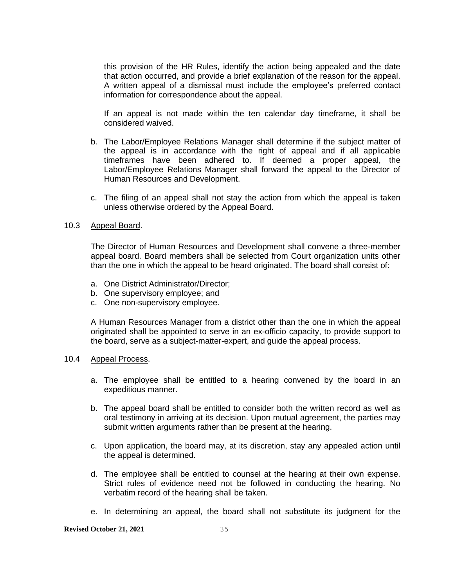this provision of the HR Rules, identify the action being appealed and the date that action occurred, and provide a brief explanation of the reason for the appeal. A written appeal of a dismissal must include the employee's preferred contact information for correspondence about the appeal.

If an appeal is not made within the ten calendar day timeframe, it shall be considered waived.

- b. The Labor/Employee Relations Manager shall determine if the subject matter of the appeal is in accordance with the right of appeal and if all applicable timeframes have been adhered to. If deemed a proper appeal, the Labor/Employee Relations Manager shall forward the appeal to the Director of Human Resources and Development.
- c. The filing of an appeal shall not stay the action from which the appeal is taken unless otherwise ordered by the Appeal Board.

#### 10.3 Appeal Board.

The Director of Human Resources and Development shall convene a three-member appeal board. Board members shall be selected from Court organization units other than the one in which the appeal to be heard originated. The board shall consist of:

- a. One District Administrator/Director;
- b. One supervisory employee; and
- c. One non-supervisory employee.

A Human Resources Manager from a district other than the one in which the appeal originated shall be appointed to serve in an ex-officio capacity, to provide support to the board, serve as a subject-matter-expert, and guide the appeal process.

#### 10.4 Appeal Process.

- a. The employee shall be entitled to a hearing convened by the board in an expeditious manner.
- b. The appeal board shall be entitled to consider both the written record as well as oral testimony in arriving at its decision. Upon mutual agreement, the parties may submit written arguments rather than be present at the hearing.
- c. Upon application, the board may, at its discretion, stay any appealed action until the appeal is determined.
- d. The employee shall be entitled to counsel at the hearing at their own expense. Strict rules of evidence need not be followed in conducting the hearing. No verbatim record of the hearing shall be taken.
- e. In determining an appeal, the board shall not substitute its judgment for the

#### **Revised October 21, 2021** 35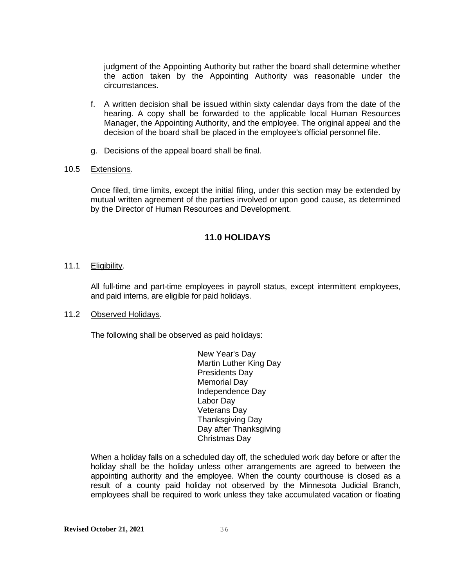judgment of the Appointing Authority but rather the board shall determine whether the action taken by the Appointing Authority was reasonable under the circumstances.

- f. A written decision shall be issued within sixty calendar days from the date of the hearing. A copy shall be forwarded to the applicable local Human Resources Manager, the Appointing Authority, and the employee. The original appeal and the decision of the board shall be placed in the employee's official personnel file.
- g. Decisions of the appeal board shall be final.

#### 10.5 Extensions.

Once filed, time limits, except the initial filing, under this section may be extended by mutual written agreement of the parties involved or upon good cause, as determined by the Director of Human Resources and Development.

# **11.0 HOLIDAYS**

#### 11.1 Eligibility.

All full-time and part-time employees in payroll status, except intermittent employees, and paid interns, are eligible for paid holidays.

## 11.2 Observed Holidays.

The following shall be observed as paid holidays:

New Year's Day Martin Luther King Day Presidents Day Memorial Day Independence Day Labor Day Veterans Day Thanksgiving Day Day after Thanksgiving Christmas Day

When a holiday falls on a scheduled day off, the scheduled work day before or after the holiday shall be the holiday unless other arrangements are agreed to between the appointing authority and the employee. When the county courthouse is closed as a result of a county paid holiday not observed by the Minnesota Judicial Branch, employees shall be required to work unless they take accumulated vacation or floating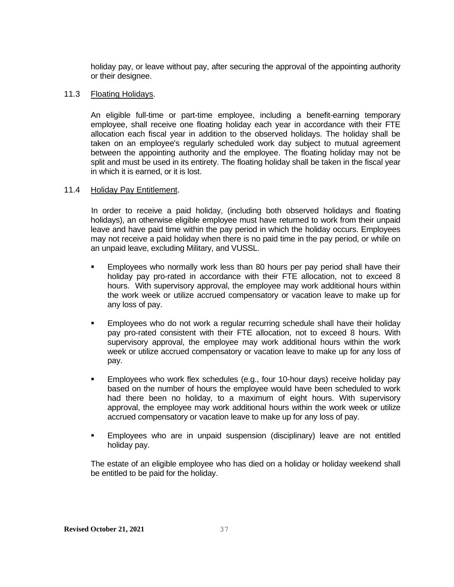holiday pay, or leave without pay, after securing the approval of the appointing authority or their designee.

#### 11.3 Floating Holidays.

An eligible full-time or part-time employee, including a benefit-earning temporary employee, shall receive one floating holiday each year in accordance with their FTE allocation each fiscal year in addition to the observed holidays. The holiday shall be taken on an employee's regularly scheduled work day subject to mutual agreement between the appointing authority and the employee. The floating holiday may not be split and must be used in its entirety. The floating holiday shall be taken in the fiscal year in which it is earned, or it is lost.

#### 11.4 Holiday Pay Entitlement.

 In order to receive a paid holiday, (including both observed holidays and floating holidays), an otherwise eligible employee must have returned to work from their unpaid leave and have paid time within the pay period in which the holiday occurs. Employees may not receive a paid holiday when there is no paid time in the pay period, or while on an unpaid leave, excluding Military, and VUSSL.

- **EMPLO** Employees who normally work less than 80 hours per pay period shall have their holiday pay pro-rated in accordance with their FTE allocation, not to exceed 8 hours. With supervisory approval, the employee may work additional hours within the work week or utilize accrued compensatory or vacation leave to make up for any loss of pay.
- **Employees who do not work a regular recurring schedule shall have their holiday** pay pro-rated consistent with their FTE allocation, not to exceed 8 hours. With supervisory approval, the employee may work additional hours within the work week or utilize accrued compensatory or vacation leave to make up for any loss of pay.
- **Employees who work flex schedules (e.g., four 10-hour days) receive holiday pay** based on the number of hours the employee would have been scheduled to work had there been no holiday, to a maximum of eight hours. With supervisory approval, the employee may work additional hours within the work week or utilize accrued compensatory or vacation leave to make up for any loss of pay.
- Employees who are in unpaid suspension (disciplinary) leave are not entitled holiday pay.

The estate of an eligible employee who has died on a holiday or holiday weekend shall be entitled to be paid for the holiday.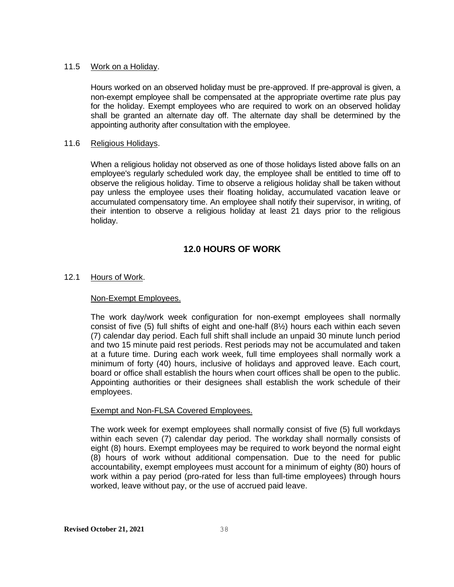### 11.5 Work on a Holiday.

Hours worked on an observed holiday must be pre-approved. If pre-approval is given, a non-exempt employee shall be compensated at the appropriate overtime rate plus pay for the holiday. Exempt employees who are required to work on an observed holiday shall be granted an alternate day off. The alternate day shall be determined by the appointing authority after consultation with the employee.

## 11.6 Religious Holidays.

When a religious holiday not observed as one of those holidays listed above falls on an employee's regularly scheduled work day, the employee shall be entitled to time off to observe the religious holiday. Time to observe a religious holiday shall be taken without pay unless the employee uses their floating holiday, accumulated vacation leave or accumulated compensatory time. An employee shall notify their supervisor, in writing, of their intention to observe a religious holiday at least 21 days prior to the religious holiday.

# **12.0 HOURS OF WORK**

# 12.1 Hours of Work.

### Non-Exempt Employees.

The work day/work week configuration for non-exempt employees shall normally consist of five (5) full shifts of eight and one-half (8½) hours each within each seven (7) calendar day period. Each full shift shall include an unpaid 30 minute lunch period and two 15 minute paid rest periods. Rest periods may not be accumulated and taken at a future time. During each work week, full time employees shall normally work a minimum of forty (40) hours, inclusive of holidays and approved leave. Each court, board or office shall establish the hours when court offices shall be open to the public. Appointing authorities or their designees shall establish the work schedule of their employees.

#### Exempt and Non-FLSA Covered Employees.

The work week for exempt employees shall normally consist of five (5) full workdays within each seven (7) calendar day period. The workday shall normally consists of eight (8) hours. Exempt employees may be required to work beyond the normal eight (8) hours of work without additional compensation. Due to the need for public accountability, exempt employees must account for a minimum of eighty (80) hours of work within a pay period (pro-rated for less than full-time employees) through hours worked, leave without pay, or the use of accrued paid leave.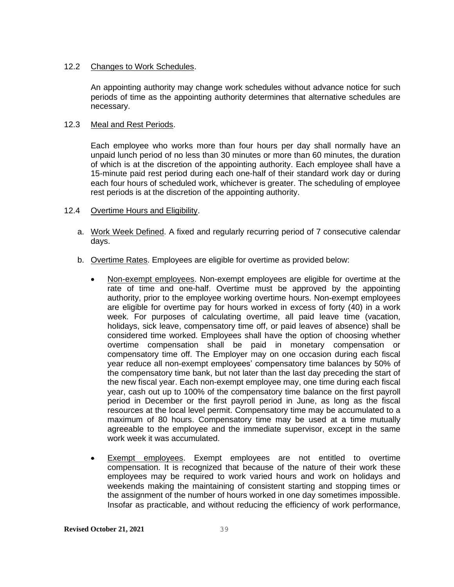### 12.2 Changes to Work Schedules.

An appointing authority may change work schedules without advance notice for such periods of time as the appointing authority determines that alternative schedules are necessary.

## 12.3 Meal and Rest Periods.

Each employee who works more than four hours per day shall normally have an unpaid lunch period of no less than 30 minutes or more than 60 minutes, the duration of which is at the discretion of the appointing authority. Each employee shall have a 15-minute paid rest period during each one-half of their standard work day or during each four hours of scheduled work, whichever is greater. The scheduling of employee rest periods is at the discretion of the appointing authority.

- 12.4 Overtime Hours and Eligibility.
	- a. Work Week Defined. A fixed and regularly recurring period of 7 consecutive calendar days.
	- b. Overtime Rates. Employees are eligible for overtime as provided below:
		- Non-exempt employees. Non-exempt employees are eligible for overtime at the rate of time and one-half. Overtime must be approved by the appointing authority, prior to the employee working overtime hours. Non-exempt employees are eligible for overtime pay for hours worked in excess of forty (40) in a work week. For purposes of calculating overtime, all paid leave time (vacation, holidays, sick leave, compensatory time off, or paid leaves of absence) shall be considered time worked. Employees shall have the option of choosing whether overtime compensation shall be paid in monetary compensation or compensatory time off. The Employer may on one occasion during each fiscal year reduce all non-exempt employees' compensatory time balances by 50% of the compensatory time bank, but not later than the last day preceding the start of the new fiscal year. Each non-exempt employee may, one time during each fiscal year, cash out up to 100% of the compensatory time balance on the first payroll period in December or the first payroll period in June, as long as the fiscal resources at the local level permit. Compensatory time may be accumulated to a maximum of 80 hours. Compensatory time may be used at a time mutually agreeable to the employee and the immediate supervisor, except in the same work week it was accumulated.
		- **•** Exempt employees. Exempt employees are not entitled to overtime compensation. It is recognized that because of the nature of their work these employees may be required to work varied hours and work on holidays and weekends making the maintaining of consistent starting and stopping times or the assignment of the number of hours worked in one day sometimes impossible. Insofar as practicable, and without reducing the efficiency of work performance,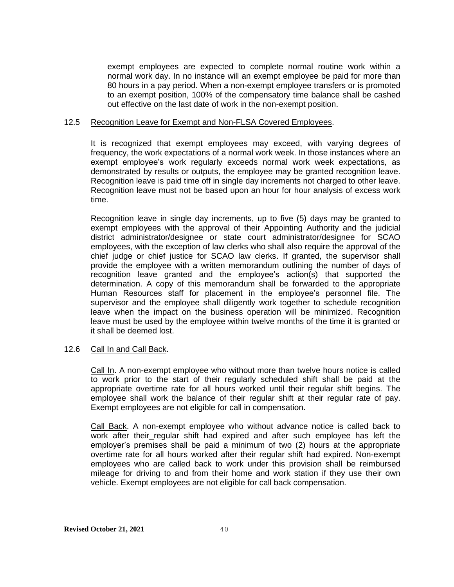exempt employees are expected to complete normal routine work within a normal work day. In no instance will an exempt employee be paid for more than 80 hours in a pay period. When a non-exempt employee transfers or is promoted to an exempt position, 100% of the compensatory time balance shall be cashed out effective on the last date of work in the non-exempt position.

#### 12.5 Recognition Leave for Exempt and Non-FLSA Covered Employees.

It is recognized that exempt employees may exceed, with varying degrees of frequency, the work expectations of a normal work week. In those instances where an exempt employee's work regularly exceeds normal work week expectations, as demonstrated by results or outputs, the employee may be granted recognition leave. Recognition leave is paid time off in single day increments not charged to other leave. Recognition leave must not be based upon an hour for hour analysis of excess work time.

Recognition leave in single day increments, up to five (5) days may be granted to exempt employees with the approval of their Appointing Authority and the judicial district administrator/designee or state court administrator/designee for SCAO employees, with the exception of law clerks who shall also require the approval of the chief judge or chief justice for SCAO law clerks. If granted, the supervisor shall provide the employee with a written memorandum outlining the number of days of recognition leave granted and the employee's action(s) that supported the determination. A copy of this memorandum shall be forwarded to the appropriate Human Resources staff for placement in the employee's personnel file. The supervisor and the employee shall diligently work together to schedule recognition leave when the impact on the business operation will be minimized. Recognition leave must be used by the employee within twelve months of the time it is granted or it shall be deemed lost.

#### 12.6 Call In and Call Back.

Call In. A non-exempt employee who without more than twelve hours notice is called to work prior to the start of their regularly scheduled shift shall be paid at the appropriate overtime rate for all hours worked until their regular shift begins. The employee shall work the balance of their regular shift at their regular rate of pay. Exempt employees are not eligible for call in compensation.

Call Back. A non-exempt employee who without advance notice is called back to work after their regular shift had expired and after such employee has left the employer's premises shall be paid a minimum of two (2) hours at the appropriate overtime rate for all hours worked after their regular shift had expired. Non-exempt employees who are called back to work under this provision shall be reimbursed mileage for driving to and from their home and work station if they use their own vehicle. Exempt employees are not eligible for call back compensation.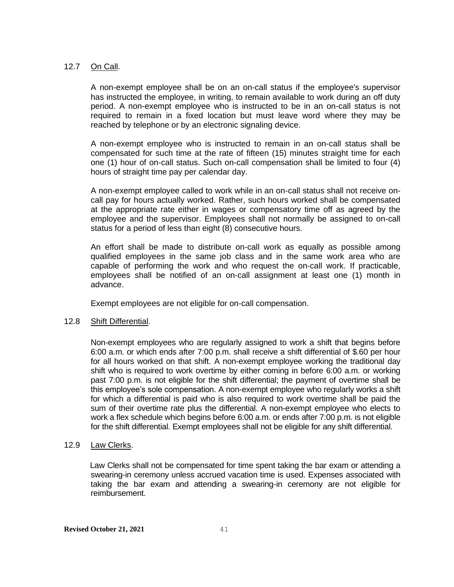## 12.7 On Call.

A non-exempt employee shall be on an on-call status if the employee's supervisor has instructed the employee, in writing, to remain available to work during an off duty period. A non-exempt employee who is instructed to be in an on-call status is not required to remain in a fixed location but must leave word where they may be reached by telephone or by an electronic signaling device.

A non-exempt employee who is instructed to remain in an on-call status shall be compensated for such time at the rate of fifteen (15) minutes straight time for each one (1) hour of on-call status. Such on-call compensation shall be limited to four (4) hours of straight time pay per calendar day.

A non-exempt employee called to work while in an on-call status shall not receive oncall pay for hours actually worked. Rather, such hours worked shall be compensated at the appropriate rate either in wages or compensatory time off as agreed by the employee and the supervisor. Employees shall not normally be assigned to on-call status for a period of less than eight (8) consecutive hours.

An effort shall be made to distribute on-call work as equally as possible among qualified employees in the same job class and in the same work area who are capable of performing the work and who request the on-call work. If practicable, employees shall be notified of an on-call assignment at least one (1) month in advance.

Exempt employees are not eligible for on-call compensation.

# 12.8 Shift Differential.

Non-exempt employees who are regularly assigned to work a shift that begins before 6:00 a.m. or which ends after 7:00 p.m. shall receive a shift differential of \$.60 per hour for all hours worked on that shift. A non-exempt employee working the traditional day shift who is required to work overtime by either coming in before 6:00 a.m. or working past 7:00 p.m. is not eligible for the shift differential; the payment of overtime shall be this employee's sole compensation. A non-exempt employee who regularly works a shift for which a differential is paid who is also required to work overtime shall be paid the sum of their overtime rate plus the differential. A non-exempt employee who elects to work a flex schedule which begins before 6:00 a.m. or ends after 7:00 p.m. is not eligible for the shift differential. Exempt employees shall not be eligible for any shift differential.

#### 12.9 Law Clerks.

Law Clerks shall not be compensated for time spent taking the bar exam or attending a swearing-in ceremony unless accrued vacation time is used. Expenses associated with taking the bar exam and attending a swearing-in ceremony are not eligible for reimbursement.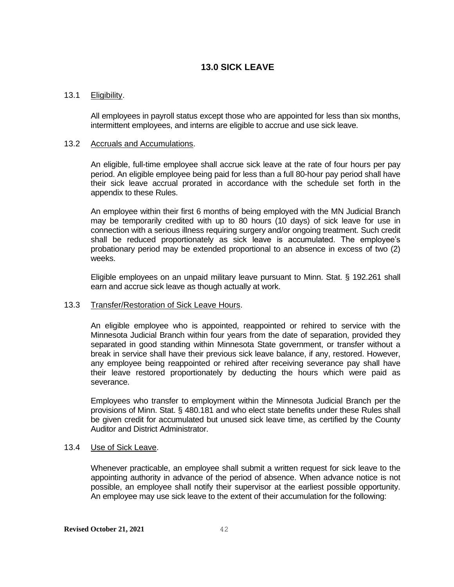# **13.0 SICK LEAVE**

### 13.1 Eligibility.

All employees in payroll status except those who are appointed for less than six months, intermittent employees, and interns are eligible to accrue and use sick leave.

#### 13.2 Accruals and Accumulations.

An eligible, full-time employee shall accrue sick leave at the rate of four hours per pay period. An eligible employee being paid for less than a full 80-hour pay period shall have their sick leave accrual prorated in accordance with the schedule set forth in the appendix to these Rules.

An employee within their first 6 months of being employed with the MN Judicial Branch may be temporarily credited with up to 80 hours (10 days) of sick leave for use in connection with a serious illness requiring surgery and/or ongoing treatment. Such credit shall be reduced proportionately as sick leave is accumulated. The employee's probationary period may be extended proportional to an absence in excess of two (2) weeks.

Eligible employees on an unpaid military leave pursuant to Minn. Stat. § 192.261 shall earn and accrue sick leave as though actually at work.

#### 13.3 Transfer/Restoration of Sick Leave Hours.

An eligible employee who is appointed, reappointed or rehired to service with the Minnesota Judicial Branch within four years from the date of separation, provided they separated in good standing within Minnesota State government, or transfer without a break in service shall have their previous sick leave balance, if any, restored. However, any employee being reappointed or rehired after receiving severance pay shall have their leave restored proportionately by deducting the hours which were paid as severance.

Employees who transfer to employment within the Minnesota Judicial Branch per the provisions of Minn. Stat. § 480.181 and who elect state benefits under these Rules shall be given credit for accumulated but unused sick leave time, as certified by the County Auditor and District Administrator.

#### 13.4 Use of Sick Leave.

Whenever practicable, an employee shall submit a written request for sick leave to the appointing authority in advance of the period of absence. When advance notice is not possible, an employee shall notify their supervisor at the earliest possible opportunity. An employee may use sick leave to the extent of their accumulation for the following: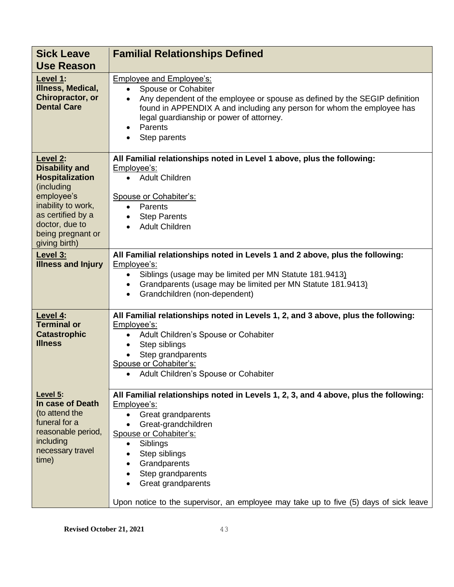| <b>Sick Leave</b><br><b>Use Reason</b>                                                                                                                                                     | <b>Familial Relationships Defined</b>                                                                                                                                                                                                                                                                                                                                    |
|--------------------------------------------------------------------------------------------------------------------------------------------------------------------------------------------|--------------------------------------------------------------------------------------------------------------------------------------------------------------------------------------------------------------------------------------------------------------------------------------------------------------------------------------------------------------------------|
| Level 1:<br>Illness, Medical,<br>Chiropractor, or<br><b>Dental Care</b>                                                                                                                    | <b>Employee and Employee's:</b><br>Spouse or Cohabiter<br>$\bullet$<br>Any dependent of the employee or spouse as defined by the SEGIP definition<br>$\bullet$<br>found in APPENDIX A and including any person for whom the employee has<br>legal guardianship or power of attorney.<br>Parents<br>$\bullet$<br>Step parents                                             |
| Level 2:<br><b>Disability and</b><br><b>Hospitalization</b><br>(including<br>employee's<br>inability to work,<br>as certified by a<br>doctor, due to<br>being pregnant or<br>giving birth) | All Familial relationships noted in Level 1 above, plus the following:<br>Employee's:<br>• Adult Children<br>Spouse or Cohabiter's:<br>Parents<br>$\bullet$<br><b>Step Parents</b><br>$\bullet$<br><b>Adult Children</b>                                                                                                                                                 |
| Level 3:<br><b>Illness and Injury</b>                                                                                                                                                      | All Familial relationships noted in Levels 1 and 2 above, plus the following:<br>Employee's:<br>Siblings (usage may be limited per MN Statute 181.9413)<br>$\bullet$<br>Grandparents (usage may be limited per MN Statute 181.9413)<br>$\bullet$<br>Grandchildren (non-dependent)                                                                                        |
| Level 4:<br><b>Terminal or</b><br><b>Catastrophic</b><br><b>Illness</b>                                                                                                                    | All Familial relationships noted in Levels 1, 2, and 3 above, plus the following:<br>Employee's:<br>Adult Children's Spouse or Cohabiter<br>Step siblings<br>Step grandparents<br>Spouse or Cohabiter's:<br>Adult Children's Spouse or Cohabiter<br>$\bullet$                                                                                                            |
| Level 5:<br>In case of Death<br>(to attend the<br>funeral for a<br>reasonable period,<br>including<br>necessary travel<br>time)                                                            | All Familial relationships noted in Levels 1, 2, 3, and 4 above, plus the following:<br>Employee's:<br>Great grandparents<br>Great-grandchildren<br>Spouse or Cohabiter's:<br>Siblings<br>$\bullet$<br>Step siblings<br>Grandparents<br>Step grandparents<br>Great grandparents<br>Upon notice to the supervisor, an employee may take up to five (5) days of sick leave |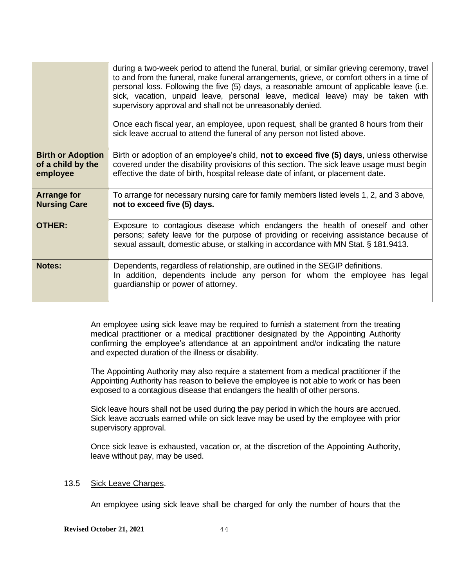|                                                           | during a two-week period to attend the funeral, burial, or similar grieving ceremony, travel<br>to and from the funeral, make funeral arrangements, grieve, or comfort others in a time of<br>personal loss. Following the five (5) days, a reasonable amount of applicable leave (i.e.<br>sick, vacation, unpaid leave, personal leave, medical leave) may be taken with<br>supervisory approval and shall not be unreasonably denied.<br>Once each fiscal year, an employee, upon request, shall be granted 8 hours from their<br>sick leave accrual to attend the funeral of any person not listed above. |
|-----------------------------------------------------------|--------------------------------------------------------------------------------------------------------------------------------------------------------------------------------------------------------------------------------------------------------------------------------------------------------------------------------------------------------------------------------------------------------------------------------------------------------------------------------------------------------------------------------------------------------------------------------------------------------------|
| <b>Birth or Adoption</b><br>of a child by the<br>employee | Birth or adoption of an employee's child, not to exceed five (5) days, unless otherwise<br>covered under the disability provisions of this section. The sick leave usage must begin<br>effective the date of birth, hospital release date of infant, or placement date.                                                                                                                                                                                                                                                                                                                                      |
| <b>Arrange for</b><br><b>Nursing Care</b>                 | To arrange for necessary nursing care for family members listed levels 1, 2, and 3 above,<br>not to exceed five (5) days.                                                                                                                                                                                                                                                                                                                                                                                                                                                                                    |
| <b>OTHER:</b>                                             | Exposure to contagious disease which endangers the health of oneself and other<br>persons; safety leave for the purpose of providing or receiving assistance because of<br>sexual assault, domestic abuse, or stalking in accordance with MN Stat. § 181.9413.                                                                                                                                                                                                                                                                                                                                               |
| <b>Notes:</b>                                             | Dependents, regardless of relationship, are outlined in the SEGIP definitions.<br>In addition, dependents include any person for whom the employee has legal<br>guardianship or power of attorney.                                                                                                                                                                                                                                                                                                                                                                                                           |

An employee using sick leave may be required to furnish a statement from the treating medical practitioner or a medical practitioner designated by the Appointing Authority confirming the employee's attendance at an appointment and/or indicating the nature and expected duration of the illness or disability.

The Appointing Authority may also require a statement from a medical practitioner if the Appointing Authority has reason to believe the employee is not able to work or has been exposed to a contagious disease that endangers the health of other persons.

Sick leave hours shall not be used during the pay period in which the hours are accrued. Sick leave accruals earned while on sick leave may be used by the employee with prior supervisory approval.

Once sick leave is exhausted, vacation or, at the discretion of the Appointing Authority, leave without pay, may be used.

### 13.5 Sick Leave Charges.

An employee using sick leave shall be charged for only the number of hours that the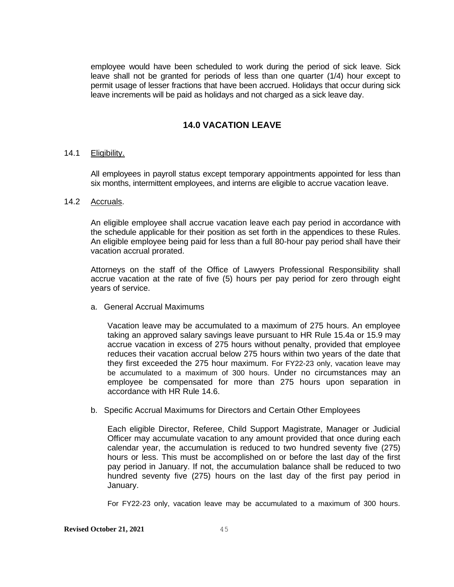employee would have been scheduled to work during the period of sick leave. Sick leave shall not be granted for periods of less than one quarter (1/4) hour except to permit usage of lesser fractions that have been accrued. Holidays that occur during sick leave increments will be paid as holidays and not charged as a sick leave day.

# **14.0 VACATION LEAVE**

#### 14.1 Eligibility.

All employees in payroll status except temporary appointments appointed for less than six months, intermittent employees, and interns are eligible to accrue vacation leave.

## 14.2 Accruals.

An eligible employee shall accrue vacation leave each pay period in accordance with the schedule applicable for their position as set forth in the appendices to these Rules. An eligible employee being paid for less than a full 80-hour pay period shall have their vacation accrual prorated.

Attorneys on the staff of the Office of Lawyers Professional Responsibility shall accrue vacation at the rate of five (5) hours per pay period for zero through eight years of service.

a. General Accrual Maximums

Vacation leave may be accumulated to a maximum of 275 hours. An employee taking an approved salary savings leave pursuant to HR Rule 15.4a or 15.9 may accrue vacation in excess of 275 hours without penalty, provided that employee reduces their vacation accrual below 275 hours within two years of the date that they first exceeded the 275 hour maximum. For FY22-23 only, vacation leave may be accumulated to a maximum of 300 hours. Under no circumstances may an employee be compensated for more than 275 hours upon separation in accordance with HR Rule 14.6.

b. Specific Accrual Maximums for Directors and Certain Other Employees

Each eligible Director, Referee, Child Support Magistrate, Manager or Judicial Officer may accumulate vacation to any amount provided that once during each calendar year, the accumulation is reduced to two hundred seventy five (275) hours or less. This must be accomplished on or before the last day of the first pay period in January. If not, the accumulation balance shall be reduced to two hundred seventy five (275) hours on the last day of the first pay period in January.

For FY22-23 only, vacation leave may be accumulated to a maximum of 300 hours.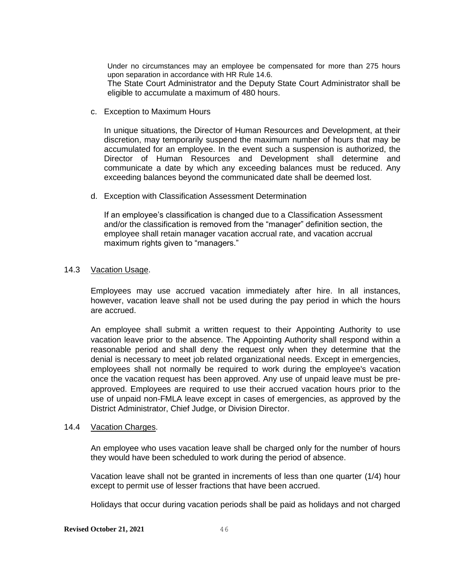Under no circumstances may an employee be compensated for more than 275 hours upon separation in accordance with HR Rule 14.6.

The State Court Administrator and the Deputy State Court Administrator shall be eligible to accumulate a maximum of 480 hours.

c. Exception to Maximum Hours

In unique situations, the Director of Human Resources and Development, at their discretion, may temporarily suspend the maximum number of hours that may be accumulated for an employee. In the event such a suspension is authorized, the Director of Human Resources and Development shall determine and communicate a date by which any exceeding balances must be reduced. Any exceeding balances beyond the communicated date shall be deemed lost.

d. Exception with Classification Assessment Determination

If an employee's classification is changed due to a Classification Assessment and/or the classification is removed from the "manager" definition section, the employee shall retain manager vacation accrual rate, and vacation accrual maximum rights given to "managers."

#### 14.3 Vacation Usage.

Employees may use accrued vacation immediately after hire. In all instances, however, vacation leave shall not be used during the pay period in which the hours are accrued.

An employee shall submit a written request to their Appointing Authority to use vacation leave prior to the absence. The Appointing Authority shall respond within a reasonable period and shall deny the request only when they determine that the denial is necessary to meet job related organizational needs. Except in emergencies, employees shall not normally be required to work during the employee's vacation once the vacation request has been approved. Any use of unpaid leave must be preapproved. Employees are required to use their accrued vacation hours prior to the use of unpaid non-FMLA leave except in cases of emergencies, as approved by the District Administrator, Chief Judge, or Division Director.

#### 14.4 Vacation Charges.

An employee who uses vacation leave shall be charged only for the number of hours they would have been scheduled to work during the period of absence.

Vacation leave shall not be granted in increments of less than one quarter (1/4) hour except to permit use of lesser fractions that have been accrued.

Holidays that occur during vacation periods shall be paid as holidays and not charged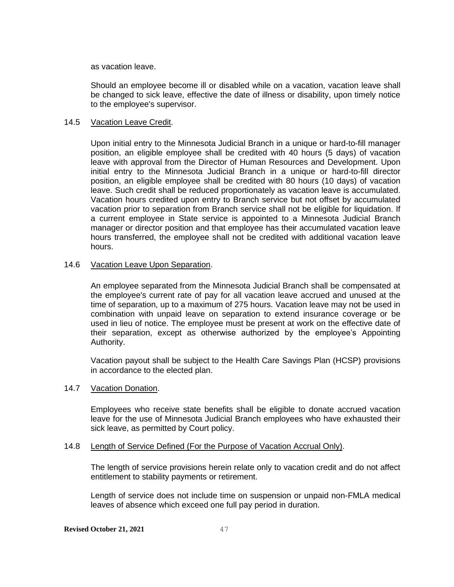as vacation leave.

Should an employee become ill or disabled while on a vacation, vacation leave shall be changed to sick leave, effective the date of illness or disability, upon timely notice to the employee's supervisor.

### 14.5 Vacation Leave Credit.

Upon initial entry to the Minnesota Judicial Branch in a unique or hard-to-fill manager position, an eligible employee shall be credited with 40 hours (5 days) of vacation leave with approval from the Director of Human Resources and Development. Upon initial entry to the Minnesota Judicial Branch in a unique or hard-to-fill director position, an eligible employee shall be credited with 80 hours (10 days) of vacation leave. Such credit shall be reduced proportionately as vacation leave is accumulated. Vacation hours credited upon entry to Branch service but not offset by accumulated vacation prior to separation from Branch service shall not be eligible for liquidation. If a current employee in State service is appointed to a Minnesota Judicial Branch manager or director position and that employee has their accumulated vacation leave hours transferred, the employee shall not be credited with additional vacation leave hours.

## 14.6 Vacation Leave Upon Separation.

An employee separated from the Minnesota Judicial Branch shall be compensated at the employee's current rate of pay for all vacation leave accrued and unused at the time of separation, up to a maximum of 275 hours. Vacation leave may not be used in combination with unpaid leave on separation to extend insurance coverage or be used in lieu of notice. The employee must be present at work on the effective date of their separation, except as otherwise authorized by the employee's Appointing Authority.

Vacation payout shall be subject to the Health Care Savings Plan (HCSP) provisions in accordance to the elected plan.

#### 14.7 Vacation Donation.

Employees who receive state benefits shall be eligible to donate accrued vacation leave for the use of Minnesota Judicial Branch employees who have exhausted their sick leave, as permitted by Court policy.

#### 14.8 Length of Service Defined (For the Purpose of Vacation Accrual Only).

The length of service provisions herein relate only to vacation credit and do not affect entitlement to stability payments or retirement.

Length of service does not include time on suspension or unpaid non-FMLA medical leaves of absence which exceed one full pay period in duration.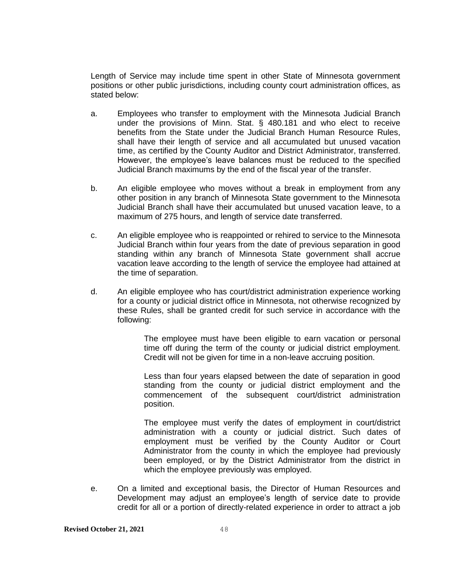Length of Service may include time spent in other State of Minnesota government positions or other public jurisdictions, including county court administration offices, as stated below:

- a. Employees who transfer to employment with the Minnesota Judicial Branch under the provisions of Minn. Stat. § 480.181 and who elect to receive benefits from the State under the Judicial Branch Human Resource Rules, shall have their length of service and all accumulated but unused vacation time, as certified by the County Auditor and District Administrator, transferred. However, the employee's leave balances must be reduced to the specified Judicial Branch maximums by the end of the fiscal year of the transfer.
- b. An eligible employee who moves without a break in employment from any other position in any branch of Minnesota State government to the Minnesota Judicial Branch shall have their accumulated but unused vacation leave, to a maximum of 275 hours, and length of service date transferred.
- c. An eligible employee who is reappointed or rehired to service to the Minnesota Judicial Branch within four years from the date of previous separation in good standing within any branch of Minnesota State government shall accrue vacation leave according to the length of service the employee had attained at the time of separation.
- d. An eligible employee who has court/district administration experience working for a county or judicial district office in Minnesota, not otherwise recognized by these Rules, shall be granted credit for such service in accordance with the following:

The employee must have been eligible to earn vacation or personal time off during the term of the county or judicial district employment. Credit will not be given for time in a non-leave accruing position.

Less than four years elapsed between the date of separation in good standing from the county or judicial district employment and the commencement of the subsequent court/district administration position.

The employee must verify the dates of employment in court/district administration with a county or judicial district. Such dates of employment must be verified by the County Auditor or Court Administrator from the county in which the employee had previously been employed, or by the District Administrator from the district in which the employee previously was employed.

e. On a limited and exceptional basis, the Director of Human Resources and Development may adjust an employee's length of service date to provide credit for all or a portion of directly-related experience in order to attract a job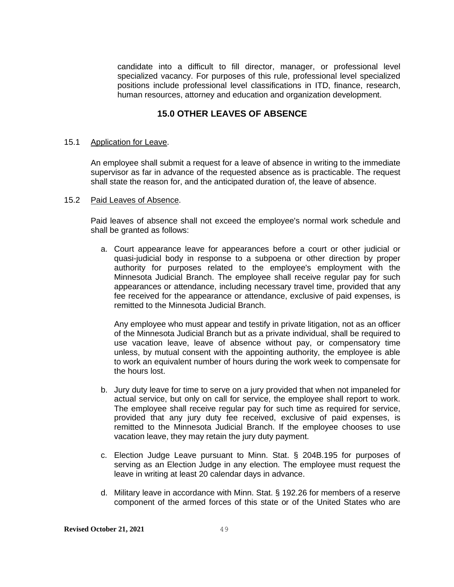candidate into a difficult to fill director, manager, or professional level specialized vacancy. For purposes of this rule, professional level specialized positions include professional level classifications in ITD, finance, research, human resources, attorney and education and organization development.

# **15.0 OTHER LEAVES OF ABSENCE**

#### 15.1 Application for Leave.

An employee shall submit a request for a leave of absence in writing to the immediate supervisor as far in advance of the requested absence as is practicable. The request shall state the reason for, and the anticipated duration of, the leave of absence.

#### 15.2 Paid Leaves of Absence.

Paid leaves of absence shall not exceed the employee's normal work schedule and shall be granted as follows:

a. Court appearance leave for appearances before a court or other judicial or quasi-judicial body in response to a subpoena or other direction by proper authority for purposes related to the employee's employment with the Minnesota Judicial Branch. The employee shall receive regular pay for such appearances or attendance, including necessary travel time, provided that any fee received for the appearance or attendance, exclusive of paid expenses, is remitted to the Minnesota Judicial Branch.

Any employee who must appear and testify in private litigation, not as an officer of the Minnesota Judicial Branch but as a private individual, shall be required to use vacation leave, leave of absence without pay, or compensatory time unless, by mutual consent with the appointing authority, the employee is able to work an equivalent number of hours during the work week to compensate for the hours lost.

- b. Jury duty leave for time to serve on a jury provided that when not impaneled for actual service, but only on call for service, the employee shall report to work. The employee shall receive regular pay for such time as required for service, provided that any jury duty fee received, exclusive of paid expenses, is remitted to the Minnesota Judicial Branch. If the employee chooses to use vacation leave, they may retain the jury duty payment.
- c. Election Judge Leave pursuant to Minn. Stat. § 204B.195 for purposes of serving as an Election Judge in any election. The employee must request the leave in writing at least 20 calendar days in advance.
- d. Military leave in accordance with Minn. Stat. § 192.26 for members of a reserve component of the armed forces of this state or of the United States who are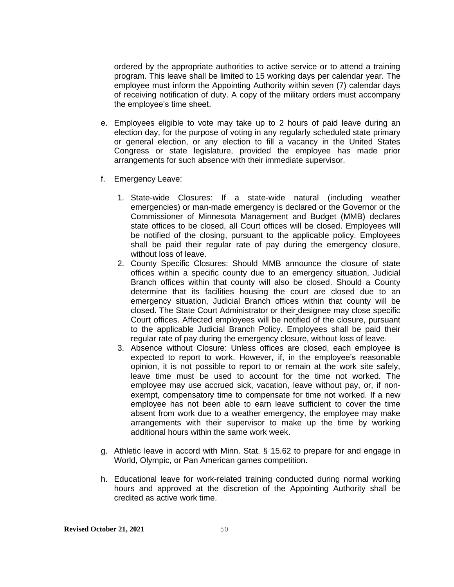ordered by the appropriate authorities to active service or to attend a training program. This leave shall be limited to 15 working days per calendar year. The employee must inform the Appointing Authority within seven (7) calendar days of receiving notification of duty. A copy of the military orders must accompany the employee's time sheet.

- e. Employees eligible to vote may take up to 2 hours of paid leave during an election day, for the purpose of voting in any regularly scheduled state primary or general election, or any election to fill a vacancy in the United States Congress or state legislature, provided the employee has made prior arrangements for such absence with their immediate supervisor.
- f. Emergency Leave:
	- 1. State-wide Closures: If a state-wide natural (including weather emergencies) or man-made emergency is declared or the Governor or the Commissioner of Minnesota Management and Budget (MMB) declares state offices to be closed, all Court offices will be closed. Employees will be notified of the closing, pursuant to the applicable policy. Employees shall be paid their regular rate of pay during the emergency closure, without loss of leave.
	- 2. County Specific Closures: Should MMB announce the closure of state offices within a specific county due to an emergency situation, Judicial Branch offices within that county will also be closed. Should a County determine that its facilities housing the court are closed due to an emergency situation, Judicial Branch offices within that county will be closed. The State Court Administrator or their designee may close specific Court offices. Affected employees will be notified of the closure, pursuant to the applicable Judicial Branch Policy. Employees shall be paid their regular rate of pay during the emergency closure, without loss of leave.
	- 3. Absence without Closure: Unless offices are closed, each employee is expected to report to work. However, if, in the employee's reasonable opinion, it is not possible to report to or remain at the work site safely, leave time must be used to account for the time not worked. The employee may use accrued sick, vacation, leave without pay, or, if nonexempt, compensatory time to compensate for time not worked. If a new employee has not been able to earn leave sufficient to cover the time absent from work due to a weather emergency, the employee may make arrangements with their supervisor to make up the time by working additional hours within the same work week.
- g. Athletic leave in accord with Minn. Stat. § 15.62 to prepare for and engage in World, Olympic, or Pan American games competition.
- h. Educational leave for work-related training conducted during normal working hours and approved at the discretion of the Appointing Authority shall be credited as active work time.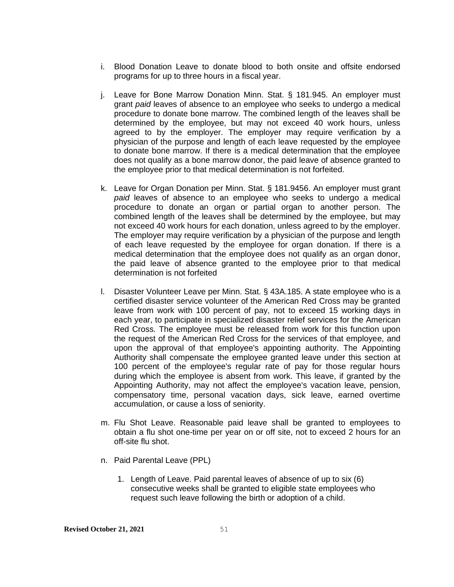- i. Blood Donation Leave to donate blood to both onsite and offsite endorsed programs for up to three hours in a fiscal year.
- j. Leave for Bone Marrow Donation Minn. Stat. § 181.945. An employer must grant *paid* leaves of absence to an employee who seeks to undergo a medical procedure to donate bone marrow. The combined length of the leaves shall be determined by the employee, but may not exceed 40 work hours, unless agreed to by the employer. The employer may require verification by a physician of the purpose and length of each leave requested by the employee to donate bone marrow. If there is a medical determination that the employee does not qualify as a bone marrow donor, the paid leave of absence granted to the employee prior to that medical determination is not forfeited.
- k. Leave for Organ Donation per Minn. Stat. § 181.9456. An employer must grant *paid* leaves of absence to an employee who seeks to undergo a medical procedure to donate an organ or partial organ to another person. The combined length of the leaves shall be determined by the employee, but may not exceed 40 work hours for each donation, unless agreed to by the employer. The employer may require verification by a physician of the purpose and length of each leave requested by the employee for organ donation. If there is a medical determination that the employee does not qualify as an organ donor, the paid leave of absence granted to the employee prior to that medical determination is not forfeited
- l. Disaster Volunteer Leave per Minn. Stat. § 43A.185. A state employee who is a certified disaster service volunteer of the American Red Cross may be granted leave from work with 100 percent of pay, not to exceed 15 working days in each year, to participate in specialized disaster relief services for the American Red Cross. The employee must be released from work for this function upon the request of the American Red Cross for the services of that employee, and upon the approval of that employee's appointing authority. The Appointing Authority shall compensate the employee granted leave under this section at 100 percent of the employee's regular rate of pay for those regular hours during which the employee is absent from work. This leave, if granted by the Appointing Authority, may not affect the employee's vacation leave, pension, compensatory time, personal vacation days, sick leave, earned overtime accumulation, or cause a loss of seniority.
- m. Flu Shot Leave. Reasonable paid leave shall be granted to employees to obtain a flu shot one-time per year on or off site, not to exceed 2 hours for an off-site flu shot.
- n. Paid Parental Leave (PPL)
	- 1. Length of Leave. Paid parental leaves of absence of up to six (6) consecutive weeks shall be granted to eligible state employees who request such leave following the birth or adoption of a child.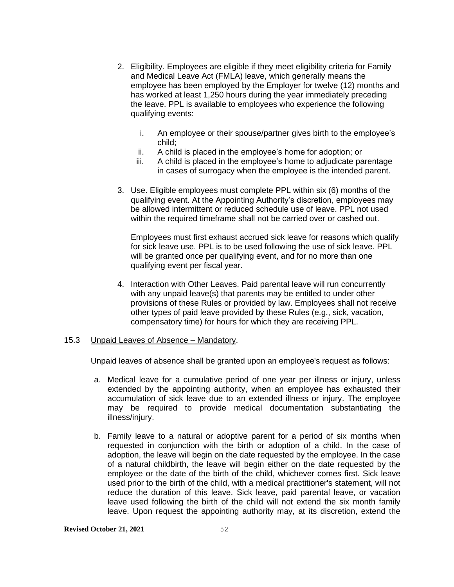- 2. Eligibility. Employees are eligible if they meet eligibility criteria for Family and Medical Leave Act (FMLA) leave, which generally means the employee has been employed by the Employer for twelve (12) months and has worked at least 1,250 hours during the year immediately preceding the leave. PPL is available to employees who experience the following qualifying events:
	- i. An employee or their spouse/partner gives birth to the employee's child;
	- ii. A child is placed in the employee's home for adoption; or
	- iii. A child is placed in the employee's home to adjudicate parentage in cases of surrogacy when the employee is the intended parent.
- 3. Use. Eligible employees must complete PPL within six (6) months of the qualifying event. At the Appointing Authority's discretion, employees may be allowed intermittent or reduced schedule use of leave. PPL not used within the required timeframe shall not be carried over or cashed out.

Employees must first exhaust accrued sick leave for reasons which qualify for sick leave use. PPL is to be used following the use of sick leave. PPL will be granted once per qualifying event, and for no more than one qualifying event per fiscal year.

4. Interaction with Other Leaves. Paid parental leave will run concurrently with any unpaid leave(s) that parents may be entitled to under other provisions of these Rules or provided by law. Employees shall not receive other types of paid leave provided by these Rules (e.g., sick, vacation, compensatory time) for hours for which they are receiving PPL.

#### 15.3 Unpaid Leaves of Absence – Mandatory.

Unpaid leaves of absence shall be granted upon an employee's request as follows:

- a. Medical leave for a cumulative period of one year per illness or injury, unless extended by the appointing authority, when an employee has exhausted their accumulation of sick leave due to an extended illness or injury. The employee may be required to provide medical documentation substantiating the illness/injury.
- b. Family leave to a natural or adoptive parent for a period of six months when requested in conjunction with the birth or adoption of a child. In the case of adoption, the leave will begin on the date requested by the employee. In the case of a natural childbirth, the leave will begin either on the date requested by the employee or the date of the birth of the child, whichever comes first. Sick leave used prior to the birth of the child, with a medical practitioner's statement, will not reduce the duration of this leave. Sick leave, paid parental leave, or vacation leave used following the birth of the child will not extend the six month family leave. Upon request the appointing authority may, at its discretion, extend the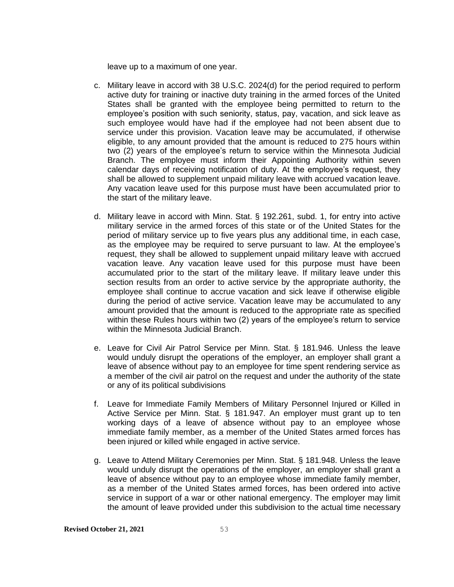leave up to a maximum of one year.

- c. Military leave in accord with 38 U.S.C. 2024(d) for the period required to perform active duty for training or inactive duty training in the armed forces of the United States shall be granted with the employee being permitted to return to the employee's position with such seniority, status, pay, vacation, and sick leave as such employee would have had if the employee had not been absent due to service under this provision. Vacation leave may be accumulated, if otherwise eligible, to any amount provided that the amount is reduced to 275 hours within two (2) years of the employee's return to service within the Minnesota Judicial Branch. The employee must inform their Appointing Authority within seven calendar days of receiving notification of duty. At the employee's request, they shall be allowed to supplement unpaid military leave with accrued vacation leave. Any vacation leave used for this purpose must have been accumulated prior to the start of the military leave.
- d. Military leave in accord with Minn. Stat. § 192.261, subd. 1, for entry into active military service in the armed forces of this state or of the United States for the period of military service up to five years plus any additional time, in each case, as the employee may be required to serve pursuant to law. At the employee's request, they shall be allowed to supplement unpaid military leave with accrued vacation leave. Any vacation leave used for this purpose must have been accumulated prior to the start of the military leave. If military leave under this section results from an order to active service by the appropriate authority, the employee shall continue to accrue vacation and sick leave if otherwise eligible during the period of active service. Vacation leave may be accumulated to any amount provided that the amount is reduced to the appropriate rate as specified within these Rules hours within two (2) years of the employee's return to service within the Minnesota Judicial Branch.
- e. Leave for Civil Air Patrol Service per Minn. Stat. § 181.946. Unless the leave would unduly disrupt the operations of the employer, an employer shall grant a leave of absence without pay to an employee for time spent rendering service as a member of the civil air patrol on the request and under the authority of the state or any of its political subdivisions
- f. Leave for Immediate Family Members of Military Personnel Injured or Killed in Active Service per Minn. Stat. § 181.947. An employer must grant up to ten working days of a leave of absence without pay to an employee whose immediate family member, as a member of the United States armed forces has been injured or killed while engaged in active service.
- g. Leave to Attend Military Ceremonies per Minn. Stat. § 181.948. Unless the leave would unduly disrupt the operations of the employer, an employer shall grant a leave of absence without pay to an employee whose immediate family member, as a member of the United States armed forces, has been ordered into active service in support of a war or other national emergency. The employer may limit the amount of leave provided under this subdivision to the actual time necessary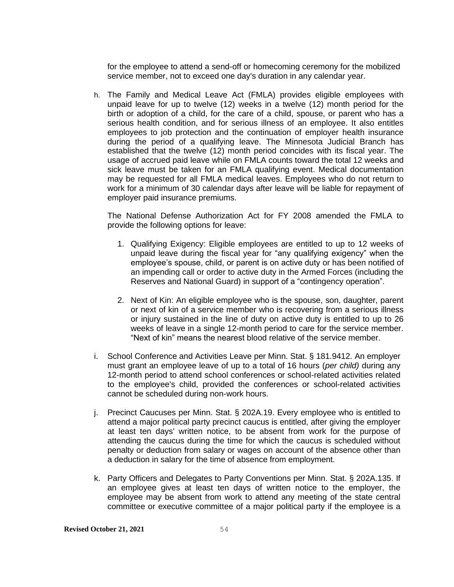for the employee to attend a send-off or homecoming ceremony for the mobilized service member, not to exceed one day's duration in any calendar year.

h. The Family and Medical Leave Act (FMLA) provides eligible employees with unpaid leave for up to twelve (12) weeks in a twelve (12) month period for the birth or adoption of a child, for the care of a child, spouse, or parent who has a serious health condition, and for serious illness of an employee. It also entitles employees to job protection and the continuation of employer health insurance during the period of a qualifying leave. The Minnesota Judicial Branch has established that the twelve (12) month period coincides with its fiscal year. The usage of accrued paid leave while on FMLA counts toward the total 12 weeks and sick leave must be taken for an FMLA qualifying event. Medical documentation may be requested for all FMLA medical leaves. Employees who do not return to work for a minimum of 30 calendar days after leave will be liable for repayment of employer paid insurance premiums.

The National Defense Authorization Act for FY 2008 amended the FMLA to provide the following options for leave:

- 1. Qualifying Exigency: Eligible employees are entitled to up to 12 weeks of unpaid leave during the fiscal year for "any qualifying exigency" when the employee's spouse, child, or parent is on active duty or has been notified of an impending call or order to active duty in the Armed Forces (including the Reserves and National Guard) in support of a "contingency operation".
- 2. Next of Kin: An eligible employee who is the spouse, son, daughter, parent or next of kin of a service member who is recovering from a serious illness or injury sustained in the line of duty on active duty is entitled to up to 26 weeks of leave in a single 12-month period to care for the service member. "Next of kin" means the nearest blood relative of the service member.
- i. School Conference and Activities Leave per Minn. Stat. § 181.9412. An employer must grant an employee leave of up to a total of 16 hours (*per child)* during any 12-month period to attend school conferences or school-related activities related to the employee's child, provided the conferences or school-related activities cannot be scheduled during non-work hours.
- j. Precinct Caucuses per Minn. Stat. § 202A.19. Every employee who is entitled to attend a major political party precinct caucus is entitled, after giving the employer at least ten days' written notice, to be absent from work for the purpose of attending the caucus during the time for which the caucus is scheduled without penalty or deduction from salary or wages on account of the absence other than a deduction in salary for the time of absence from employment.
- k. Party Officers and Delegates to Party Conventions per Minn. Stat. § 202A.135. If an employee gives at least ten days of written notice to the employer, the employee may be absent from work to attend any meeting of the state central committee or executive committee of a major political party if the employee is a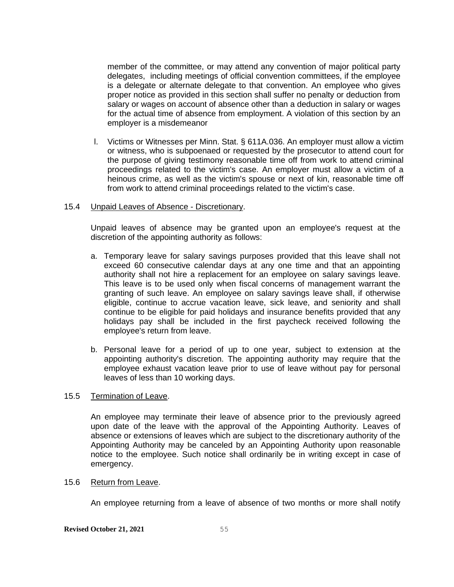member of the committee, or may attend any convention of major political party delegates, including meetings of official convention committees, if the employee is a delegate or alternate delegate to that convention. An employee who gives proper notice as provided in this section shall suffer no penalty or deduction from salary or wages on account of absence other than a deduction in salary or wages for the actual time of absence from employment. A violation of this section by an employer is a misdemeanor

l. Victims or Witnesses per Minn. Stat. § 611A.036. An employer must allow a victim or witness, who is subpoenaed or requested by the prosecutor to attend court for the purpose of giving testimony reasonable time off from work to attend criminal proceedings related to the victim's case. An employer must allow a victim of a heinous crime, as well as the victim's spouse or next of kin, reasonable time off from work to attend criminal proceedings related to the victim's case.

#### 15.4 Unpaid Leaves of Absence - Discretionary.

Unpaid leaves of absence may be granted upon an employee's request at the discretion of the appointing authority as follows:

- a. Temporary leave for salary savings purposes provided that this leave shall not exceed 60 consecutive calendar days at any one time and that an appointing authority shall not hire a replacement for an employee on salary savings leave. This leave is to be used only when fiscal concerns of management warrant the granting of such leave. An employee on salary savings leave shall, if otherwise eligible, continue to accrue vacation leave, sick leave, and seniority and shall continue to be eligible for paid holidays and insurance benefits provided that any holidays pay shall be included in the first paycheck received following the employee's return from leave.
- b. Personal leave for a period of up to one year, subject to extension at the appointing authority's discretion. The appointing authority may require that the employee exhaust vacation leave prior to use of leave without pay for personal leaves of less than 10 working days.

#### 15.5 Termination of Leave.

An employee may terminate their leave of absence prior to the previously agreed upon date of the leave with the approval of the Appointing Authority. Leaves of absence or extensions of leaves which are subject to the discretionary authority of the Appointing Authority may be canceled by an Appointing Authority upon reasonable notice to the employee. Such notice shall ordinarily be in writing except in case of emergency.

#### 15.6 Return from Leave.

An employee returning from a leave of absence of two months or more shall notify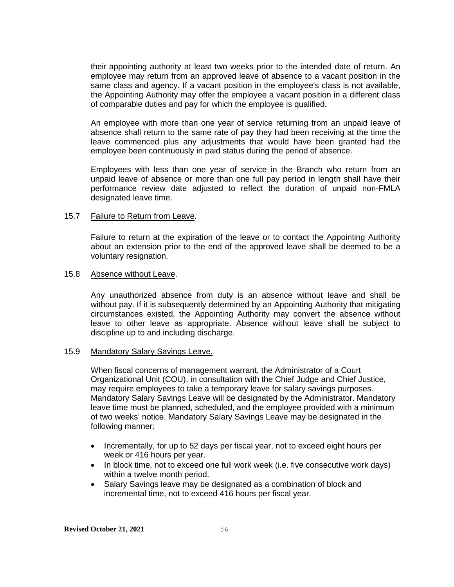their appointing authority at least two weeks prior to the intended date of return. An employee may return from an approved leave of absence to a vacant position in the same class and agency. If a vacant position in the employee's class is not available, the Appointing Authority may offer the employee a vacant position in a different class of comparable duties and pay for which the employee is qualified.

An employee with more than one year of service returning from an unpaid leave of absence shall return to the same rate of pay they had been receiving at the time the leave commenced plus any adjustments that would have been granted had the employee been continuously in paid status during the period of absence.

Employees with less than one year of service in the Branch who return from an unpaid leave of absence or more than one full pay period in length shall have their performance review date adjusted to reflect the duration of unpaid non-FMLA designated leave time.

#### 15.7 Failure to Return from Leave.

Failure to return at the expiration of the leave or to contact the Appointing Authority about an extension prior to the end of the approved leave shall be deemed to be a voluntary resignation.

#### 15.8 Absence without Leave.

Any unauthorized absence from duty is an absence without leave and shall be without pay. If it is subsequently determined by an Appointing Authority that mitigating circumstances existed, the Appointing Authority may convert the absence without leave to other leave as appropriate. Absence without leave shall be subject to discipline up to and including discharge.

#### 15.9 Mandatory Salary Savings Leave.

When fiscal concerns of management warrant, the Administrator of a Court Organizational Unit (COU), in consultation with the Chief Judge and Chief Justice, may require employees to take a temporary leave for salary savings purposes. Mandatory Salary Savings Leave will be designated by the Administrator. Mandatory leave time must be planned, scheduled, and the employee provided with a minimum of two weeks' notice. Mandatory Salary Savings Leave may be designated in the following manner:

- Incrementally, for up to 52 days per fiscal year, not to exceed eight hours per week or 416 hours per year.
- In block time, not to exceed one full work week (i.e. five consecutive work days) within a twelve month period.
- Salary Savings leave may be designated as a combination of block and incremental time, not to exceed 416 hours per fiscal year.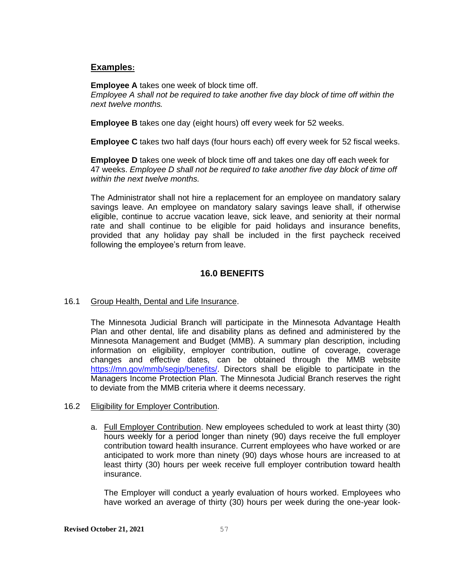# **Examples:**

**Employee A** takes one week of block time off.

*Employee A shall not be required to take another five day block of time off within the next twelve months.*

**Employee B** takes one day (eight hours) off every week for 52 weeks.

**Employee C** takes two half days (four hours each) off every week for 52 fiscal weeks.

**Employee D** takes one week of block time off and takes one day off each week for 47 weeks. *Employee D shall not be required to take another five day block of time off within the next twelve months.*

The Administrator shall not hire a replacement for an employee on mandatory salary savings leave. An employee on mandatory salary savings leave shall, if otherwise eligible, continue to accrue vacation leave, sick leave, and seniority at their normal rate and shall continue to be eligible for paid holidays and insurance benefits, provided that any holiday pay shall be included in the first paycheck received following the employee's return from leave.

# **16.0 BENEFITS**

# 16.1 Group Health, Dental and Life Insurance.

The Minnesota Judicial Branch will participate in the Minnesota Advantage Health Plan and other dental, life and disability plans as defined and administered by the Minnesota Management and Budget (MMB). A summary plan description, including information on eligibility, employer contribution, outline of coverage, coverage changes and effective dates, can be obtained through the MMB website [https://mn.gov/mmb/segip/benefits/.](https://mn.gov/mmb/segip/benefits/) Directors shall be eligible to participate in the Managers Income Protection Plan. The Minnesota Judicial Branch reserves the right to deviate from the MMB criteria where it deems necessary.

- 16.2 Eligibility for Employer Contribution.
	- a. Full Employer Contribution. New employees scheduled to work at least thirty (30) hours weekly for a period longer than ninety (90) days receive the full employer contribution toward health insurance. Current employees who have worked or are anticipated to work more than ninety (90) days whose hours are increased to at least thirty (30) hours per week receive full employer contribution toward health insurance.

The Employer will conduct a yearly evaluation of hours worked. Employees who have worked an average of thirty (30) hours per week during the one-year look-

#### **Revised October 21, 2021** 57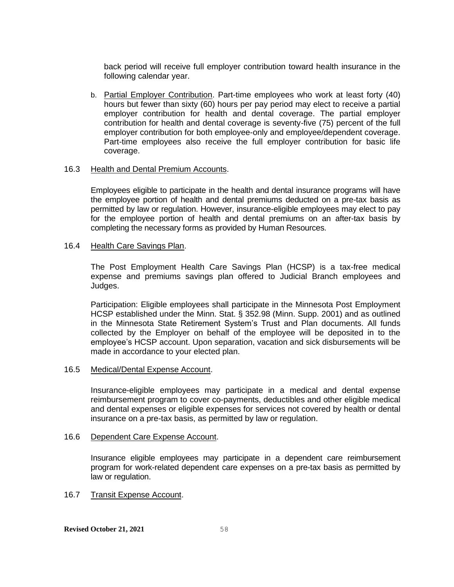back period will receive full employer contribution toward health insurance in the following calendar year.

b. Partial Employer Contribution. Part-time employees who work at least forty (40) hours but fewer than sixty (60) hours per pay period may elect to receive a partial employer contribution for health and dental coverage. The partial employer contribution for health and dental coverage is seventy-five (75) percent of the full employer contribution for both employee-only and employee/dependent coverage. Part-time employees also receive the full employer contribution for basic life coverage.

#### 16.3 Health and Dental Premium Accounts.

Employees eligible to participate in the health and dental insurance programs will have the employee portion of health and dental premiums deducted on a pre-tax basis as permitted by law or regulation. However, insurance-eligible employees may elect to pay for the employee portion of health and dental premiums on an after-tax basis by completing the necessary forms as provided by Human Resources.

#### 16.4 Health Care Savings Plan.

The Post Employment Health Care Savings Plan (HCSP) is a tax-free medical expense and premiums savings plan offered to Judicial Branch employees and Judges.

Participation: Eligible employees shall participate in the Minnesota Post Employment HCSP established under the Minn. Stat. § 352.98 (Minn. Supp. 2001) and as outlined in the Minnesota State Retirement System's Trust and Plan documents. All funds collected by the Employer on behalf of the employee will be deposited in to the employee's HCSP account. Upon separation, vacation and sick disbursements will be made in accordance to your elected plan.

#### 16.5 Medical/Dental Expense Account.

Insurance-eligible employees may participate in a medical and dental expense reimbursement program to cover co-payments, deductibles and other eligible medical and dental expenses or eligible expenses for services not covered by health or dental insurance on a pre-tax basis, as permitted by law or regulation.

#### 16.6 Dependent Care Expense Account.

Insurance eligible employees may participate in a dependent care reimbursement program for work-related dependent care expenses on a pre-tax basis as permitted by law or regulation.

#### 16.7 Transit Expense Account.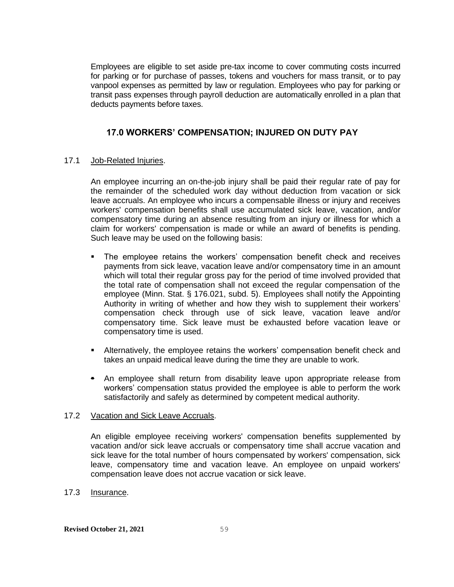Employees are eligible to set aside pre-tax income to cover commuting costs incurred for parking or for purchase of passes, tokens and vouchers for mass transit, or to pay vanpool expenses as permitted by law or regulation. Employees who pay for parking or transit pass expenses through payroll deduction are automatically enrolled in a plan that deducts payments before taxes.

# **17.0 WORKERS' COMPENSATION; INJURED ON DUTY PAY**

## 17.1 Job-Related Injuries.

An employee incurring an on-the-job injury shall be paid their regular rate of pay for the remainder of the scheduled work day without deduction from vacation or sick leave accruals. An employee who incurs a compensable illness or injury and receives workers' compensation benefits shall use accumulated sick leave, vacation, and/or compensatory time during an absence resulting from an injury or illness for which a claim for workers' compensation is made or while an award of benefits is pending. Such leave may be used on the following basis:

- The employee retains the workers' compensation benefit check and receives payments from sick leave, vacation leave and/or compensatory time in an amount which will total their regular gross pay for the period of time involved provided that the total rate of compensation shall not exceed the regular compensation of the employee (Minn. Stat. § 176.021, subd. 5). Employees shall notify the Appointing Authority in writing of whether and how they wish to supplement their workers' compensation check through use of sick leave, vacation leave and/or compensatory time. Sick leave must be exhausted before vacation leave or compensatory time is used.
- **EXEDENT** Alternatively, the employee retains the workers' compensation benefit check and takes an unpaid medical leave during the time they are unable to work.
- An employee shall return from disability leave upon appropriate release from workers' compensation status provided the employee is able to perform the work satisfactorily and safely as determined by competent medical authority.

#### 17.2 Vacation and Sick Leave Accruals.

An eligible employee receiving workers' compensation benefits supplemented by vacation and/or sick leave accruals or compensatory time shall accrue vacation and sick leave for the total number of hours compensated by workers' compensation, sick leave, compensatory time and vacation leave. An employee on unpaid workers' compensation leave does not accrue vacation or sick leave.

# 17.3 Insurance.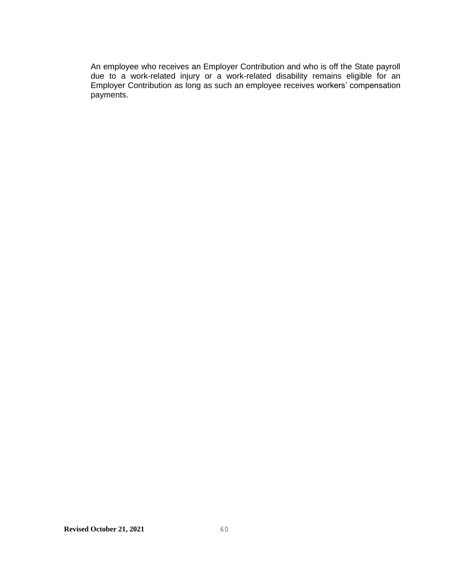An employee who receives an Employer Contribution and who is off the State payroll due to a work-related injury or a work-related disability remains eligible for an Employer Contribution as long as such an employee receives workers' compensation payments.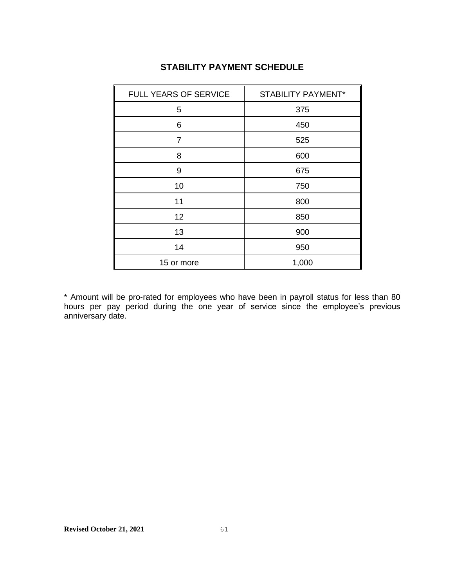| FULL YEARS OF SERVICE | <b>STABILITY PAYMENT*</b> |  |
|-----------------------|---------------------------|--|
| 5                     | 375                       |  |
| 6                     | 450                       |  |
| $\overline{7}$        | 525                       |  |
| 8                     | 600                       |  |
| 9                     | 675                       |  |
| 10                    | 750                       |  |
| 11                    | 800                       |  |
| 12                    | 850                       |  |
| 13                    | 900                       |  |
| 14                    | 950                       |  |
| 15 or more            | 1,000                     |  |

# **STABILITY PAYMENT SCHEDULE**

\* Amount will be pro-rated for employees who have been in payroll status for less than 80 hours per pay period during the one year of service since the employee's previous anniversary date.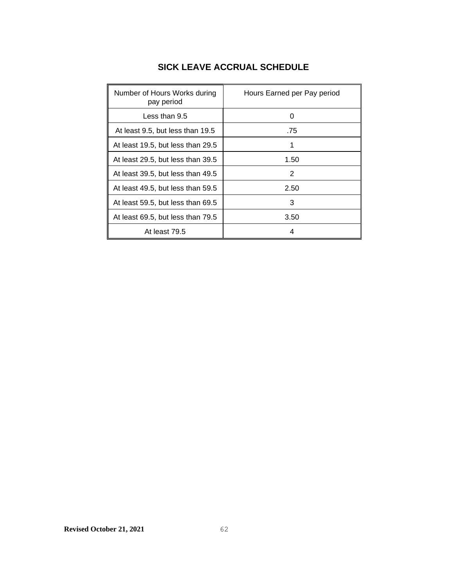| <b>SICK LEAVE ACCRUAL SCHEDULE</b> |  |  |
|------------------------------------|--|--|
|------------------------------------|--|--|

| Number of Hours Works during<br>pay period | Hours Earned per Pay period |
|--------------------------------------------|-----------------------------|
| Less than 9.5                              | O                           |
| At least 9.5, but less than 19.5           | .75                         |
| At least 19.5, but less than 29.5          |                             |
| At least 29.5, but less than 39.5          | 1.50                        |
| At least 39.5, but less than 49.5          | 2                           |
| At least 49.5, but less than 59.5          | 2.50                        |
| At least 59.5, but less than 69.5          | 3                           |
| At least 69.5, but less than 79.5          | 3.50                        |
| At least 79.5                              |                             |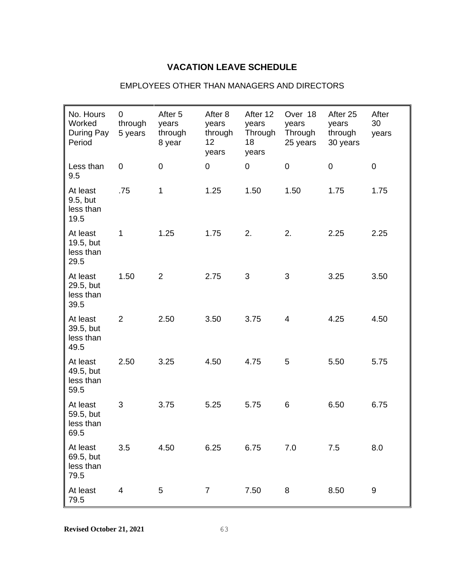# **VACATION LEAVE SCHEDULE**

| No. Hours<br>Worked<br>During Pay<br>Period | 0<br>through<br>5 years | After 5<br>years<br>through<br>8 year | After 8<br>years<br>through<br>12<br>years | After 12<br>years<br>Through<br>18<br>years | Over 18<br>years<br>Through<br>25 years | After 25<br>years<br>through<br>30 years | After<br>30<br>years |
|---------------------------------------------|-------------------------|---------------------------------------|--------------------------------------------|---------------------------------------------|-----------------------------------------|------------------------------------------|----------------------|
| Less than<br>9.5                            | 0                       | $\boldsymbol{0}$                      | 0                                          | $\mathbf 0$                                 | $\pmb{0}$                               | $\pmb{0}$                                | $\pmb{0}$            |
| At least<br>9.5, but<br>less than<br>19.5   | .75                     | 1                                     | 1.25                                       | 1.50                                        | 1.50                                    | 1.75                                     | 1.75                 |
| At least<br>19.5, but<br>less than<br>29.5  | 1                       | 1.25                                  | 1.75                                       | 2.                                          | 2.                                      | 2.25                                     | 2.25                 |
| At least<br>29.5, but<br>less than<br>39.5  | 1.50                    | $\overline{2}$                        | 2.75                                       | 3                                           | 3                                       | 3.25                                     | 3.50                 |
| At least<br>39.5, but<br>less than<br>49.5  | $\overline{2}$          | 2.50                                  | 3.50                                       | 3.75                                        | $\overline{4}$                          | 4.25                                     | 4.50                 |
| At least<br>49.5, but<br>less than<br>59.5  | 2.50                    | 3.25                                  | 4.50                                       | 4.75                                        | 5                                       | 5.50                                     | 5.75                 |
| At least<br>59.5, but<br>less than<br>69.5  | 3                       | 3.75                                  | 5.25                                       | 5.75                                        | 6                                       | 6.50                                     | 6.75                 |
| At least<br>69.5, but<br>less than<br>79.5  | 3.5                     | 4.50                                  | 6.25                                       | 6.75                                        | 7.0                                     | 7.5                                      | 8.0                  |
| At least<br>79.5                            | 4                       | $\sqrt{5}$                            | $\overline{7}$                             | 7.50                                        | 8                                       | 8.50                                     | 9                    |

### EMPLOYEES OTHER THAN MANAGERS AND DIRECTORS

**Revised October 21, 2021** 63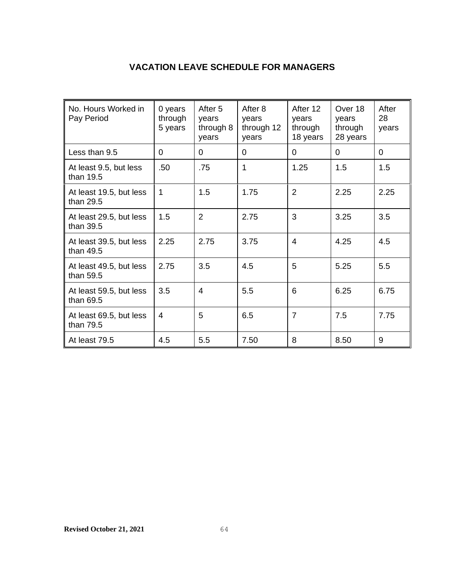# **VACATION LEAVE SCHEDULE FOR MANAGERS**

| No. Hours Worked in<br>Pay Period    | 0 years<br>through<br>5 years | After 5<br>years<br>through 8<br>years | After 8<br>years<br>through 12<br>years | After 12<br>years<br>through<br>18 years | Over 18<br>vears<br>through<br>28 years | After<br>28<br>years |
|--------------------------------------|-------------------------------|----------------------------------------|-----------------------------------------|------------------------------------------|-----------------------------------------|----------------------|
| Less than 9.5                        | $\Omega$                      | 0                                      | $\Omega$                                | $\Omega$                                 | $\Omega$                                | $\overline{0}$       |
| At least 9.5, but less<br>than 19.5  | .50                           | .75                                    | 1                                       | 1.25                                     | 1.5                                     | 1.5                  |
| At least 19.5, but less<br>than 29.5 | 1                             | 1.5                                    | 1.75                                    | $\overline{2}$                           | 2.25                                    | 2.25                 |
| At least 29.5, but less<br>than 39.5 | 1.5                           | $\mathcal{P}$                          | 2.75                                    | 3                                        | 3.25                                    | 3.5                  |
| At least 39.5, but less<br>than 49.5 | 2.25                          | 2.75                                   | 3.75                                    | 4                                        | 4.25                                    | 4.5                  |
| At least 49.5, but less<br>than 59.5 | 2.75                          | 3.5                                    | 4.5                                     | 5                                        | 5.25                                    | 5.5                  |
| At least 59.5, but less<br>than 69.5 | 3.5                           | 4                                      | 5.5                                     | 6                                        | 6.25                                    | 6.75                 |
| At least 69.5, but less<br>than 79.5 | 4                             | 5                                      | 6.5                                     | $\overline{7}$                           | 7.5                                     | 7.75                 |
| At least 79.5                        | 4.5                           | 5.5                                    | 7.50                                    | 8                                        | 8.50                                    | 9                    |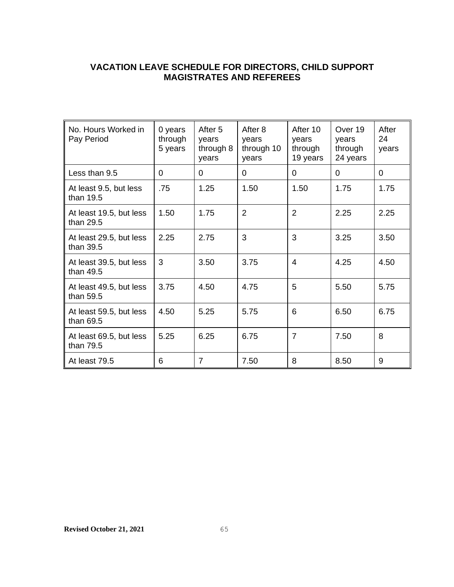# **VACATION LEAVE SCHEDULE FOR DIRECTORS, CHILD SUPPORT MAGISTRATES AND REFEREES**

| No. Hours Worked in<br>Pay Period    | 0 years<br>through<br>5 years | After 5<br>years<br>through 8<br>years | After 8<br>years<br>through 10<br>years | After 10<br>years<br>through<br>19 years | Over 19<br>years<br>through<br>24 years | After<br>24<br>years |
|--------------------------------------|-------------------------------|----------------------------------------|-----------------------------------------|------------------------------------------|-----------------------------------------|----------------------|
| Less than 9.5                        | $\Omega$                      | $\Omega$                               | $\Omega$                                | $\Omega$                                 | $\Omega$                                | $\Omega$             |
| At least 9.5, but less<br>than 19.5  | .75                           | 1.25                                   | 1.50                                    | 1.50                                     | 1.75                                    | 1.75                 |
| At least 19.5, but less<br>than 29.5 | 1.50                          | 1.75                                   | $\overline{2}$                          | $\overline{2}$                           | 2.25                                    | 2.25                 |
| At least 29.5, but less<br>than 39.5 | 2.25                          | 2.75                                   | 3                                       | 3                                        | 3.25                                    | 3.50                 |
| At least 39.5, but less<br>than 49.5 | 3                             | 3.50                                   | 3.75                                    | 4                                        | 4.25                                    | 4.50                 |
| At least 49.5, but less<br>than 59.5 | 3.75                          | 4.50                                   | 4.75                                    | 5                                        | 5.50                                    | 5.75                 |
| At least 59.5, but less<br>than 69.5 | 4.50                          | 5.25                                   | 5.75                                    | 6                                        | 6.50                                    | 6.75                 |
| At least 69.5, but less<br>than 79.5 | 5.25                          | 6.25                                   | 6.75                                    | $\overline{7}$                           | 7.50                                    | 8                    |
| At least 79.5                        | 6                             | $\overline{7}$                         | 7.50                                    | 8                                        | 8.50                                    | 9                    |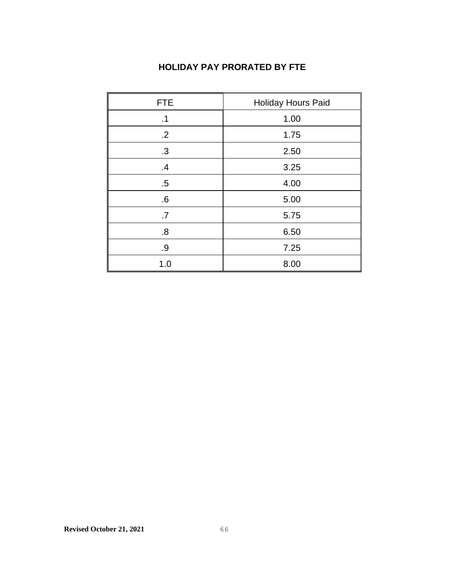# **HOLIDAY PAY PRORATED BY FTE**

| <b>FTE</b>       | <b>Holiday Hours Paid</b> |
|------------------|---------------------------|
| .1               | 1.00                      |
| $.2\overline{ }$ | 1.75                      |
| .3               | 2.50                      |
| .4               | 3.25                      |
| $.5\,$           | 4.00                      |
| .6               | 5.00                      |
| .7               | 5.75                      |
| .8               | 6.50                      |
| .9               | 7.25                      |
| 1.0              | 8.00                      |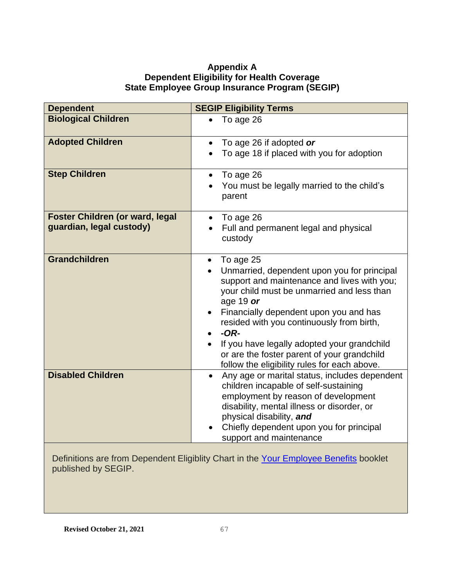## **Appendix A Dependent Eligibility for Health Coverage State Employee Group Insurance Program (SEGIP)**

| <b>Dependent</b>                                                                         | <b>SEGIP Eligibility Terms</b>                                                                      |
|------------------------------------------------------------------------------------------|-----------------------------------------------------------------------------------------------------|
| <b>Biological Children</b>                                                               | To age 26                                                                                           |
| <b>Adopted Children</b>                                                                  | To age 26 if adopted or<br>$\bullet$                                                                |
|                                                                                          | To age 18 if placed with you for adoption                                                           |
| <b>Step Children</b>                                                                     | To age 26<br>$\bullet$                                                                              |
|                                                                                          | You must be legally married to the child's<br>parent                                                |
| <b>Foster Children (or ward, legal</b>                                                   | To age 26<br>$\bullet$                                                                              |
| guardian, legal custody)                                                                 | Full and permanent legal and physical<br>custody                                                    |
| <b>Grandchildren</b>                                                                     | To age 25                                                                                           |
|                                                                                          | Unmarried, dependent upon you for principal                                                         |
|                                                                                          | support and maintenance and lives with you;<br>your child must be unmarried and less than           |
|                                                                                          | age 19 $or$                                                                                         |
|                                                                                          | Financially dependent upon you and has                                                              |
|                                                                                          | resided with you continuously from birth,<br>$-OR-$                                                 |
|                                                                                          | If you have legally adopted your grandchild                                                         |
|                                                                                          | or are the foster parent of your grandchild                                                         |
|                                                                                          | follow the eligibility rules for each above.                                                        |
| <b>Disabled Children</b>                                                                 | Any age or marital status, includes dependent<br>$\bullet$<br>children incapable of self-sustaining |
|                                                                                          | employment by reason of development                                                                 |
|                                                                                          | disability, mental illness or disorder, or                                                          |
|                                                                                          | physical disability, and                                                                            |
|                                                                                          | Chiefly dependent upon you for principal<br>support and maintenance                                 |
| $\mathcal{A}$ . The state of $\mathcal{B}$ is a state of $\mathcal{B}$ and $\mathcal{B}$ |                                                                                                     |

Definitions are from Dependent Eligiblity Chart in the [Your Employee Benefits](https://mn.gov/mmb-stat/segip/doc/YEB.pdf) booklet published by SEGIP.